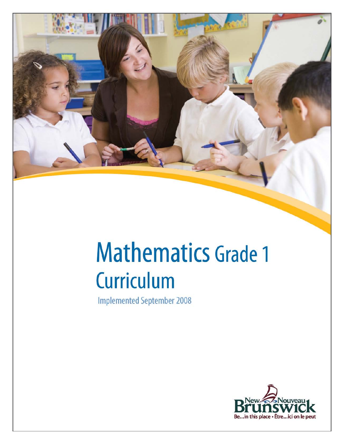

# **Mathematics Grade 1 Curriculum**

**Implemented September 2008** 

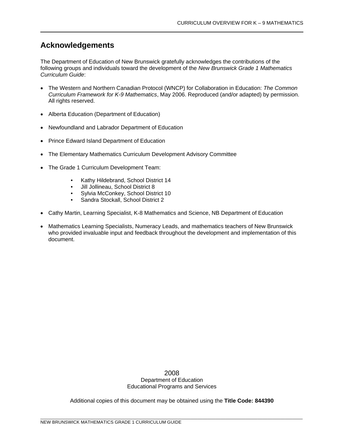# **Acknowledgements**

The Department of Education of New Brunswick gratefully acknowledges the contributions of the following groups and individuals toward the development of the *New Brunswick Grade 1 Mathematics Curriculum Guide*:

- The Western and Northern Canadian Protocol (WNCP) for Collaboration in Education: *The Common Curriculum Framework for K-9 Mathematics*, May 2006. Reproduced (and/or adapted) by permission. All rights reserved.
- Alberta Education (Department of Education)
- Newfoundland and Labrador Department of Education
- Prince Edward Island Department of Education
- The Elementary Mathematics Curriculum Development Advisory Committee
- The Grade 1 Curriculum Development Team:
	- Kathy Hildebrand, School District 14
	- Jill Jollineau, School District 8
	- Sylvia McConkey, School District 10<br>• Sandra Stockall, School District 2
	- Sandra Stockall, School District 2
- Cathy Martin, Learning Specialist, K-8 Mathematics and Science, NB Department of Education
- Mathematics Learning Specialists, Numeracy Leads, and mathematics teachers of New Brunswick who provided invaluable input and feedback throughout the development and implementation of this document.

2008 Department of Education Educational Programs and Services

Additional copies of this document may be obtained using the **Title Code: 844390**

\_\_\_\_\_\_\_\_\_\_\_\_\_\_\_\_\_\_\_\_\_\_\_\_\_\_\_\_\_\_\_\_\_\_\_\_\_\_\_\_\_\_\_\_\_\_\_\_\_\_\_\_\_\_\_\_\_\_\_\_\_\_\_\_\_\_\_\_\_\_\_\_\_\_\_\_\_\_\_\_\_\_\_\_\_\_\_\_\_\_\_\_\_\_\_\_\_\_\_\_\_\_\_\_\_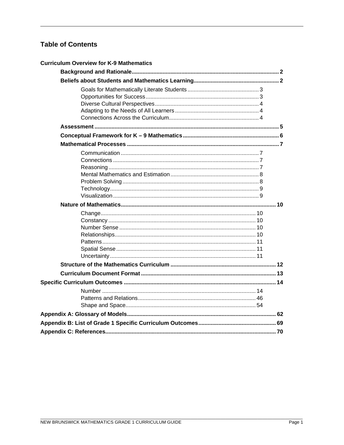# **Table of Contents**

| <b>Curriculum Overview for K-9 Mathematics</b> |  |
|------------------------------------------------|--|
|                                                |  |
|                                                |  |
|                                                |  |
|                                                |  |
|                                                |  |
|                                                |  |
|                                                |  |
|                                                |  |
|                                                |  |
|                                                |  |
|                                                |  |
|                                                |  |
|                                                |  |
|                                                |  |
|                                                |  |
|                                                |  |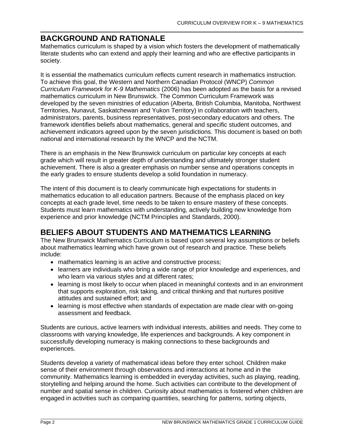# **BACKGROUND AND RATIONALE**

Mathematics curriculum is shaped by a vision which fosters the development of mathematically literate students who can extend and apply their learning and who are effective participants in society.

It is essential the mathematics curriculum reflects current research in mathematics instruction. To achieve this goal, the Western and Northern Canadian Protocol (WNCP) *Common Curriculum Framework for K-9 Mathematics* (2006) has been adopted as the basis for a revised mathematics curriculum in New Brunswick. The Common Curriculum Framework was developed by the seven ministries of education (Alberta, British Columbia, Manitoba, Northwest Territories, Nunavut, Saskatchewan and Yukon Territory) in collaboration with teachers, administrators, parents, business representatives, post-secondary educators and others. The framework identifies beliefs about mathematics, general and specific student outcomes, and achievement indicators agreed upon by the seven jurisdictions. This document is based on both national and international research by the WNCP and the NCTM.

There is an emphasis in the New Brunswick curriculum on particular key concepts at each grade which will result in greater depth of understanding and ultimately stronger student achievement. There is also a greater emphasis on number sense and operations concepts in the early grades to ensure students develop a solid foundation in numeracy.

The intent of this document is to clearly communicate high expectations for students in mathematics education to all education partners. Because of the emphasis placed on key concepts at each grade level, time needs to be taken to ensure mastery of these concepts. Students must learn mathematics with understanding, actively building new knowledge from experience and prior knowledge (NCTM Principles and Standards, 2000).

# **BELIEFS ABOUT STUDENTS AND MATHEMATICS LEARNING**

The New Brunswick Mathematics Curriculum is based upon several key assumptions or beliefs about mathematics learning which have grown out of research and practice. These beliefs include:

- mathematics learning is an active and constructive process;
- learners are individuals who bring a wide range of prior knowledge and experiences, and who learn via various styles and at different rates;
- learning is most likely to occur when placed in meaningful contexts and in an environment that supports exploration, risk taking, and critical thinking and that nurtures positive attitudes and sustained effort; and
- learning is most effective when standards of expectation are made clear with on-going assessment and feedback.

Students are curious, active learners with individual interests, abilities and needs. They come to classrooms with varying knowledge, life experiences and backgrounds. A key component in successfully developing numeracy is making connections to these backgrounds and experiences.

Students develop a variety of mathematical ideas before they enter school. Children make sense of their environment through observations and interactions at home and in the community. Mathematics learning is embedded in everyday activities, such as playing, reading, storytelling and helping around the home. Such activities can contribute to the development of number and spatial sense in children. Curiosity about mathematics is fostered when children are engaged in activities such as comparing quantities, searching for patterns, sorting objects,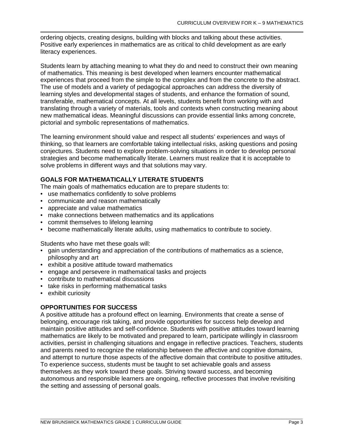ordering objects, creating designs, building with blocks and talking about these activities. Positive early experiences in mathematics are as critical to child development as are early literacy experiences.

Students learn by attaching meaning to what they do and need to construct their own meaning of mathematics. This meaning is best developed when learners encounter mathematical experiences that proceed from the simple to the complex and from the concrete to the abstract. The use of models and a variety of pedagogical approaches can address the diversity of learning styles and developmental stages of students, and enhance the formation of sound, transferable, mathematical concepts. At all levels, students benefit from working with and translating through a variety of materials, tools and contexts when constructing meaning about new mathematical ideas. Meaningful discussions can provide essential links among concrete, pictorial and symbolic representations of mathematics.

The learning environment should value and respect all students' experiences and ways of thinking, so that learners are comfortable taking intellectual risks, asking questions and posing conjectures. Students need to explore problem-solving situations in order to develop personal strategies and become mathematically literate. Learners must realize that it is acceptable to solve problems in different ways and that solutions may vary.

# **GOALS FOR MATHEMATICALLY LITERATE STUDENTS**

The main goals of mathematics education are to prepare students to:

- use mathematics confidently to solve problems
- communicate and reason mathematically
- appreciate and value mathematics
- make connections between mathematics and its applications
- commit themselves to lifelong learning
- become mathematically literate adults, using mathematics to contribute to society.

Students who have met these goals will:

- gain understanding and appreciation of the contributions of mathematics as a science, philosophy and art
- exhibit a positive attitude toward mathematics
- engage and persevere in mathematical tasks and projects
- contribute to mathematical discussions
- take risks in performing mathematical tasks
- exhibit curiosity

# **OPPORTUNITIES FOR SUCCESS**

A positive attitude has a profound effect on learning. Environments that create a sense of belonging, encourage risk taking, and provide opportunities for success help develop and maintain positive attitudes and self-confidence. Students with positive attitudes toward learning mathematics are likely to be motivated and prepared to learn, participate willingly in classroom activities, persist in challenging situations and engage in reflective practices. Teachers, students and parents need to recognize the relationship between the affective and cognitive domains, and attempt to nurture those aspects of the affective domain that contribute to positive attitudes. To experience success, students must be taught to set achievable goals and assess themselves as they work toward these goals. Striving toward success, and becoming autonomous and responsible learners are ongoing, reflective processes that involve revisiting the setting and assessing of personal goals.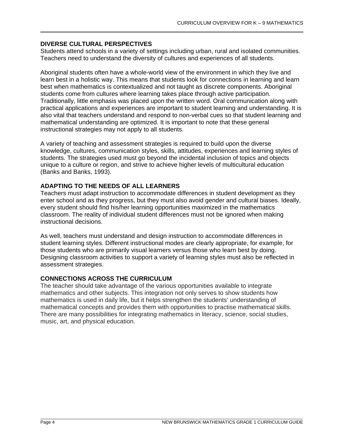# **DIVERSE CULTURAL PERSPECTIVES**

Students attend schools in a variety of settings including urban, rural and isolated communities. Teachers need to understand the diversity of cultures and experiences of all students.

Aboriginal students often have a whole-world view of the environment in which they live and learn best in a holistic way. This means that students look for connections in learning and learn best when mathematics is contextualized and not taught as discrete components. Aboriginal students come from cultures where learning takes place through active participation. Traditionally, little emphasis was placed upon the written word. Oral communication along with practical applications and experiences are important to student learning and understanding. It is also vital that teachers understand and respond to non-verbal cues so that student learning and mathematical understanding are optimized. It is important to note that these general instructional strategies may not apply to all students.

A variety of teaching and assessment strategies is required to build upon the diverse knowledge, cultures, communication styles, skills, attitudes, experiences and learning styles of students. The strategies used must go beyond the incidental inclusion of topics and objects unique to a culture or region, and strive to achieve higher levels of multicultural education (Banks and Banks, 1993).

# **ADAPTING TO THE NEEDS OF ALL LEARNERS**

Teachers must adapt instruction to accommodate differences in student development as they enter school and as they progress, but they must also avoid gender and cultural biases. Ideally, every student should find his/her learning opportunities maximized in the mathematics classroom. The reality of individual student differences must not be ignored when making instructional decisions.

As well, teachers must understand and design instruction to accommodate differences in student learning styles. Different instructional modes are clearly appropriate, for example, for those students who are primarily visual learners versus those who learn best by doing. Designing classroom activities to support a variety of learning styles must also be reflected in assessment strategies.

# **CONNECTIONS ACROSS THE CURRICULUM**

The teacher should take advantage of the various opportunities available to integrate mathematics and other subjects. This integration not only serves to show students how mathematics is used in daily life, but it helps strengthen the students' understanding of mathematical concepts and provides them with opportunities to practise mathematical skills. There are many possibilities for integrating mathematics in literacy, science, social studies, music, art, and physical education.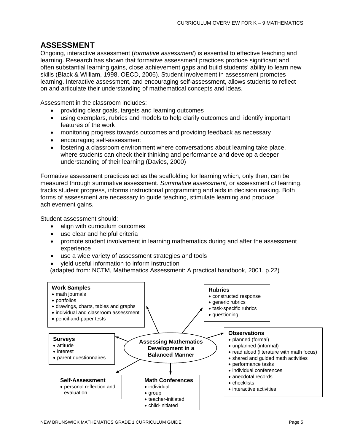# **ASSESSMENT**

Ongoing, interactive assessment (*formative assessment*) is essential to effective teaching and learning. Research has shown that formative assessment practices produce significant and often substantial learning gains, close achievement gaps and build students' ability to learn new skills (Black & William, 1998, OECD, 2006). Student involvement in assessment promotes learning. Interactive assessment, and encouraging self-assessment, allows students to reflect on and articulate their understanding of mathematical concepts and ideas.

Assessment in the classroom includes:

- providing clear goals, targets and learning outcomes
- using exemplars, rubrics and models to help clarify outcomes and identify important features of the work
- monitoring progress towards outcomes and providing feedback as necessary
- encouraging self-assessment
- fostering a classroom environment where conversations about learning take place, where students can check their thinking and performance and develop a deeper understanding of their learning (Davies, 2000)

Formative assessment practices act as the scaffolding for learning which, only then, can be measured through summative assessment. *Summative assessment,* or assessment *of* learning, tracks student progress, informs instructional programming and aids in decision making. Both forms of assessment are necessary to guide teaching, stimulate learning and produce achievement gains.

Student assessment should:

- align with curriculum outcomes
- use clear and helpful criteria
- promote student involvement in learning mathematics during and after the assessment experience
- use a wide variety of assessment strategies and tools
- yield useful information to inform instruction

(adapted from: NCTM, Mathematics Assessment: A practical handbook, 2001, p.22)

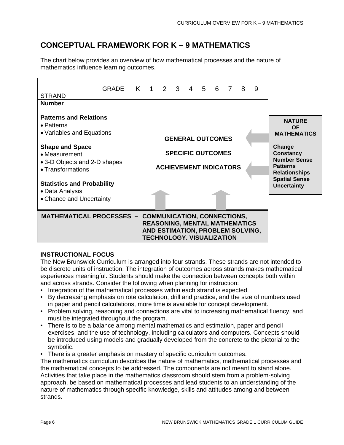# **CONCEPTUAL FRAMEWORK FOR K – 9 MATHEMATICS**

The chart below provides an overview of how mathematical processes and the nature of mathematics influence learning outcomes.



# **INSTRUCTIONAL FOCUS**

The New Brunswick Curriculum is arranged into four strands. These strands are not intended to be discrete units of instruction. The integration of outcomes across strands makes mathematical experiences meaningful. Students should make the connection between concepts both within and across strands. Consider the following when planning for instruction:

- Integration of the mathematical processes within each strand is expected.
- By decreasing emphasis on rote calculation, drill and practice, and the size of numbers used in paper and pencil calculations, more time is available for concept development.
- Problem solving, reasoning and connections are vital to increasing mathematical fluency, and must be integrated throughout the program.
- There is to be a balance among mental mathematics and estimation, paper and pencil exercises, and the use of technology, including calculators and computers. Concepts should be introduced using models and gradually developed from the concrete to the pictorial to the symbolic.
- There is a greater emphasis on mastery of specific curriculum outcomes.

The mathematics curriculum describes the nature of mathematics, mathematical processes and the mathematical concepts to be addressed. The components are not meant to stand alone. Activities that take place in the mathematics classroom should stem from a problem-solving approach, be based on mathematical processes and lead students to an understanding of the nature of mathematics through specific knowledge, skills and attitudes among and between strands.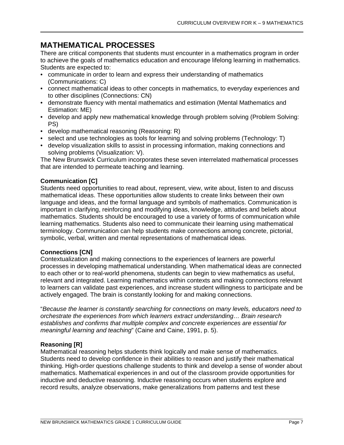# **MATHEMATICAL PROCESSES**

There are critical components that students must encounter in a mathematics program in order to achieve the goals of mathematics education and encourage lifelong learning in mathematics. Students are expected to:

- communicate in order to learn and express their understanding of mathematics (Communications: C)
- connect mathematical ideas to other concepts in mathematics, to everyday experiences and to other disciplines (Connections: CN)
- demonstrate fluency with mental mathematics and estimation (Mental Mathematics and Estimation: ME)
- develop and apply new mathematical knowledge through problem solving (Problem Solving: PS)
- develop mathematical reasoning (Reasoning: R)
- select and use technologies as tools for learning and solving problems (Technology: T)
- develop visualization skills to assist in processing information, making connections and solving problems (Visualization: V).

The New Brunswick Curriculum incorporates these seven interrelated mathematical processes that are intended to permeate teaching and learning.

# **Communication [C]**

Students need opportunities to read about, represent, view, write about, listen to and discuss mathematical ideas. These opportunities allow students to create links between their own language and ideas, and the formal language and symbols of mathematics. Communication is important in clarifying, reinforcing and modifying ideas, knowledge, attitudes and beliefs about mathematics. Students should be encouraged to use a variety of forms of communication while learning mathematics. Students also need to communicate their learning using mathematical terminology. Communication can help students make connections among concrete, pictorial, symbolic, verbal, written and mental representations of mathematical ideas.

# **Connections [CN]**

Contextualization and making connections to the experiences of learners are powerful processes in developing mathematical understanding. When mathematical ideas are connected to each other or to real-world phenomena, students can begin to view mathematics as useful, relevant and integrated. Learning mathematics within contexts and making connections relevant to learners can validate past experiences, and increase student willingness to participate and be actively engaged. The brain is constantly looking for and making connections.

"*Because the learner is constantly searching for connections on many levels, educators need to orchestrate the experiences from which learners extract understanding… Brain research establishes and confirms that multiple complex and concrete experiences are essential for meaningful learning and teaching*" (Caine and Caine, 1991, p. 5).

# **Reasoning [R]**

Mathematical reasoning helps students think logically and make sense of mathematics. Students need to develop confidence in their abilities to reason and justify their mathematical thinking. High-order questions challenge students to think and develop a sense of wonder about mathematics. Mathematical experiences in and out of the classroom provide opportunities for inductive and deductive reasoning. Inductive reasoning occurs when students explore and record results, analyze observations, make generalizations from patterns and test these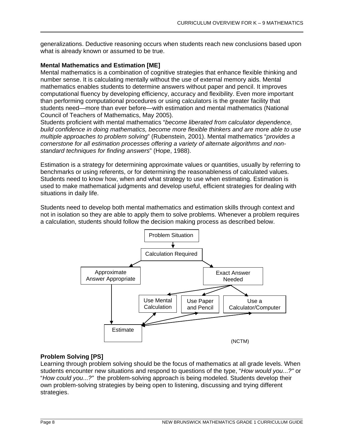generalizations. Deductive reasoning occurs when students reach new conclusions based upon what is already known or assumed to be true.

#### **Mental Mathematics and Estimation [ME]**

Mental mathematics is a combination of cognitive strategies that enhance flexible thinking and number sense. It is calculating mentally without the use of external memory aids. Mental mathematics enables students to determine answers without paper and pencil. It improves computational fluency by developing efficiency, accuracy and flexibility. Even more important than performing computational procedures or using calculators is the greater facility that students need—more than ever before—with estimation and mental mathematics (National Council of Teachers of Mathematics, May 2005).

Students proficient with mental mathematics "*become liberated from calculator dependence, build confidence in doing mathematics, become more flexible thinkers and are more able to use multiple approaches to problem solving*" (Rubenstein, 2001). Mental mathematics "*provides a cornerstone for all estimation processes offering a variety of alternate algorithms and nonstandard techniques for finding answers*" (Hope, 1988).

Estimation is a strategy for determining approximate values or quantities, usually by referring to benchmarks or using referents, or for determining the reasonableness of calculated values. Students need to know how, when and what strategy to use when estimating. Estimation is used to make mathematical judgments and develop useful, efficient strategies for dealing with situations in daily life.

Students need to develop both mental mathematics and estimation skills through context and not in isolation so they are able to apply them to solve problems. Whenever a problem requires a calculation, students should follow the decision making process as described below.



# **Problem Solving [PS]**

Learning through problem solving should be the focus of mathematics at all grade levels. When students encounter new situations and respond to questions of the type, "*How would you*...*?"* or "*How could you*...*?"* the problem-solving approach is being modeled. Students develop their own problem-solving strategies by being open to listening, discussing and trying different strategies.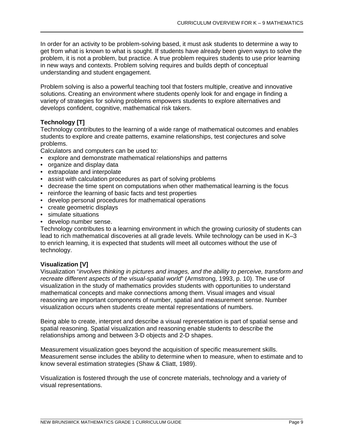In order for an activity to be problem-solving based, it must ask students to determine a way to get from what is known to what is sought. If students have already been given ways to solve the problem, it is not a problem, but practice. A true problem requires students to use prior learning in new ways and contexts. Problem solving requires and builds depth of conceptual understanding and student engagement.

Problem solving is also a powerful teaching tool that fosters multiple, creative and innovative solutions. Creating an environment where students openly look for and engage in finding a variety of strategies for solving problems empowers students to explore alternatives and develops confident, cognitive, mathematical risk takers.

# **Technology [T]**

Technology contributes to the learning of a wide range of mathematical outcomes and enables students to explore and create patterns, examine relationships, test conjectures and solve problems.

Calculators and computers can be used to:

- explore and demonstrate mathematical relationships and patterns
- organize and display data
- extrapolate and interpolate
- assist with calculation procedures as part of solving problems
- decrease the time spent on computations when other mathematical learning is the focus
- reinforce the learning of basic facts and test properties
- develop personal procedures for mathematical operations
- create geometric displays
- simulate situations
- develop number sense.

Technology contributes to a learning environment in which the growing curiosity of students can lead to rich mathematical discoveries at all grade levels. While technology can be used in K–3 to enrich learning, it is expected that students will meet all outcomes without the use of technology.

# **Visualization [V]**

Visualization "*involves thinking in pictures and images, and the ability to perceive, transform and recreate different aspects of the visual-spatial world*" (Armstrong, 1993, p. 10). The use of visualization in the study of mathematics provides students with opportunities to understand mathematical concepts and make connections among them. Visual images and visual reasoning are important components of number, spatial and measurement sense. Number visualization occurs when students create mental representations of numbers.

Being able to create, interpret and describe a visual representation is part of spatial sense and spatial reasoning. Spatial visualization and reasoning enable students to describe the relationships among and between 3-D objects and 2-D shapes.

Measurement visualization goes beyond the acquisition of specific measurement skills. Measurement sense includes the ability to determine when to measure, when to estimate and to know several estimation strategies (Shaw & Cliatt, 1989).

Visualization is fostered through the use of concrete materials, technology and a variety of visual representations.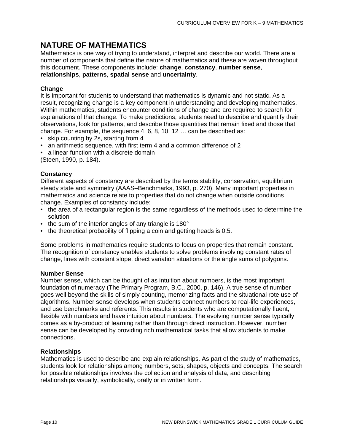# **NATURE OF MATHEMATICS**

Mathematics is one way of trying to understand, interpret and describe our world. There are a number of components that define the nature of mathematics and these are woven throughout this document. These components include: **change**, **constancy**, **number sense**, **relationships**, **patterns**, **spatial sense** and **uncertainty**.

# **Change**

It is important for students to understand that mathematics is dynamic and not static. As a result, recognizing change is a key component in understanding and developing mathematics. Within mathematics, students encounter conditions of change and are required to search for explanations of that change. To make predictions, students need to describe and quantify their observations, look for patterns, and describe those quantities that remain fixed and those that change. For example, the sequence 4, 6, 8, 10, 12 … can be described as:

- skip counting by 2s, starting from 4
- an arithmetic sequence, with first term 4 and a common difference of 2
- a linear function with a discrete domain

(Steen, 1990, p. 184).

#### **Constancy**

Different aspects of constancy are described by the terms stability, conservation, equilibrium, steady state and symmetry (AAAS–Benchmarks, 1993, p. 270). Many important properties in mathematics and science relate to properties that do not change when outside conditions change. Examples of constancy include:

- the area of a rectangular region is the same regardless of the methods used to determine the solution
- the sum of the interior angles of any triangle is 180°
- the theoretical probability of flipping a coin and getting heads is 0.5.

Some problems in mathematics require students to focus on properties that remain constant. The recognition of constancy enables students to solve problems involving constant rates of change, lines with constant slope, direct variation situations or the angle sums of polygons.

#### **Number Sense**

Number sense, which can be thought of as intuition about numbers, is the most important foundation of numeracy (The Primary Program, B.C., 2000, p. 146). A true sense of number goes well beyond the skills of simply counting, memorizing facts and the situational rote use of algorithms. Number sense develops when students connect numbers to real-life experiences, and use benchmarks and referents. This results in students who are computationally fluent, flexible with numbers and have intuition about numbers. The evolving number sense typically comes as a by-product of learning rather than through direct instruction. However, number sense can be developed by providing rich mathematical tasks that allow students to make connections.

# **Relationships**

Mathematics is used to describe and explain relationships. As part of the study of mathematics, students look for relationships among numbers, sets, shapes, objects and concepts. The search for possible relationships involves the collection and analysis of data, and describing relationships visually, symbolically, orally or in written form.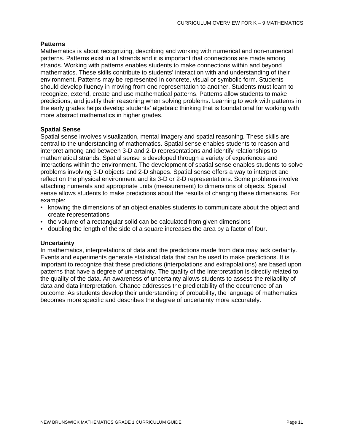#### **Patterns**

Mathematics is about recognizing, describing and working with numerical and non-numerical patterns. Patterns exist in all strands and it is important that connections are made among strands. Working with patterns enables students to make connections within and beyond mathematics. These skills contribute to students' interaction with and understanding of their environment. Patterns may be represented in concrete, visual or symbolic form. Students should develop fluency in moving from one representation to another. Students must learn to recognize, extend, create and use mathematical patterns. Patterns allow students to make predictions, and justify their reasoning when solving problems. Learning to work with patterns in the early grades helps develop students' algebraic thinking that is foundational for working with more abstract mathematics in higher grades.

# **Spatial Sense**

Spatial sense involves visualization, mental imagery and spatial reasoning. These skills are central to the understanding of mathematics. Spatial sense enables students to reason and interpret among and between 3-D and 2-D representations and identify relationships to mathematical strands. Spatial sense is developed through a variety of experiences and interactions within the environment. The development of spatial sense enables students to solve problems involving 3-D objects and 2-D shapes. Spatial sense offers a way to interpret and reflect on the physical environment and its 3-D or 2-D representations. Some problems involve attaching numerals and appropriate units (measurement) to dimensions of objects. Spatial sense allows students to make predictions about the results of changing these dimensions. For example:

- knowing the dimensions of an object enables students to communicate about the object and create representations
- the volume of a rectangular solid can be calculated from given dimensions
- doubling the length of the side of a square increases the area by a factor of four.

# **Uncertainty**

In mathematics, interpretations of data and the predictions made from data may lack certainty. Events and experiments generate statistical data that can be used to make predictions. It is important to recognize that these predictions (interpolations and extrapolations) are based upon patterns that have a degree of uncertainty. The quality of the interpretation is directly related to the quality of the data. An awareness of uncertainty allows students to assess the reliability of data and data interpretation. Chance addresses the predictability of the occurrence of an outcome. As students develop their understanding of probability, the language of mathematics becomes more specific and describes the degree of uncertainty more accurately.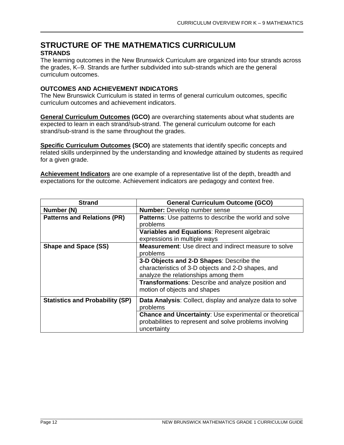# **STRUCTURE OF THE MATHEMATICS CURRICULUM STRANDS**

The learning outcomes in the New Brunswick Curriculum are organized into four strands across the grades, K–9. Strands are further subdivided into sub-strands which are the general curriculum outcomes.

# **OUTCOMES AND ACHIEVEMENT INDICATORS**

The New Brunswick Curriculum is stated in terms of general curriculum outcomes, specific curriculum outcomes and achievement indicators.

**General Curriculum Outcomes (GCO)** are overarching statements about what students are expected to learn in each strand/sub-strand. The general curriculum outcome for each strand/sub-strand is the same throughout the grades.

**Specific Curriculum Outcomes (SCO)** are statements that identify specific concepts and related skills underpinned by the understanding and knowledge attained by students as required for a given grade.

**Achievement Indicators** are one example of a representative list of the depth, breadth and expectations for the outcome. Achievement indicators are pedagogy and context free.

| <b>Strand</b>                          | <b>General Curriculum Outcome (GCO)</b>                                                                                                  |  |
|----------------------------------------|------------------------------------------------------------------------------------------------------------------------------------------|--|
| Number (N)                             | <b>Number:</b> Develop number sense                                                                                                      |  |
| <b>Patterns and Relations (PR)</b>     | <b>Patterns:</b> Use patterns to describe the world and solve                                                                            |  |
|                                        | problems                                                                                                                                 |  |
|                                        | Variables and Equations: Represent algebraic                                                                                             |  |
|                                        | expressions in multiple ways                                                                                                             |  |
| <b>Shape and Space (SS)</b>            | <b>Measurement:</b> Use direct and indirect measure to solve                                                                             |  |
|                                        | problems                                                                                                                                 |  |
|                                        | 3-D Objects and 2-D Shapes: Describe the                                                                                                 |  |
|                                        | characteristics of 3-D objects and 2-D shapes, and                                                                                       |  |
|                                        | analyze the relationships among them                                                                                                     |  |
|                                        | <b>Transformations:</b> Describe and analyze position and                                                                                |  |
|                                        | motion of objects and shapes                                                                                                             |  |
| <b>Statistics and Probability (SP)</b> | <b>Data Analysis:</b> Collect, display and analyze data to solve<br>problems                                                             |  |
|                                        | <b>Chance and Uncertainty: Use experimental or theoretical</b><br>probabilities to represent and solve problems involving<br>uncertainty |  |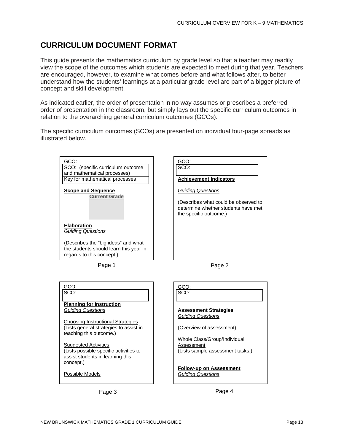# **CURRICULUM DOCUMENT FORMAT**

This guide presents the mathematics curriculum by grade level so that a teacher may readily view the scope of the outcomes which students are expected to meet during that year. Teachers are encouraged, however, to examine what comes before and what follows after, to better understand how the students' learnings at a particular grade level are part of a bigger picture of concept and skill development.

As indicated earlier, the order of presentation in no way assumes or prescribes a preferred order of presentation in the classroom, but simply lays out the specific curriculum outcomes in relation to the overarching general curriculum outcomes (GCOs).

The specific curriculum outcomes (SCOs) are presented on individual four-page spreads as illustrated below.

GCO:



| GCO:                                   | GCO:                     |
|----------------------------------------|--------------------------|
| SCO:                                   | SCO:                     |
|                                        |                          |
| <b>Planning for Instruction</b>        |                          |
| <b>Guiding Questions</b>               | <b>Assessment Stra</b>   |
|                                        | <b>Guiding Questions</b> |
| Choosing Instructional Strategies      |                          |
| (Lists general strategies to assist in | (Overview of asse        |
| teaching this outcome.)                |                          |
|                                        | <b>Whole Class/Grou</b>  |
| <b>Suggested Activities</b>            | Assessment               |
| (Lists possible specific activities to | (Lists sample asse       |
| assist students in learning this       |                          |
| concept.)                              |                          |
|                                        |                          |
|                                        | <b>Follow-up on Ass</b>  |
| Possible Models                        | <b>Guiding Questions</b> |
|                                        |                          |
|                                        |                          |



SCO: **Achievement Indicators** *Guiding Questions* (Describes what could be observed to determine whether students have met the specific outcome.)

Page 1 Page 2

| SCO:                                                                           |
|--------------------------------------------------------------------------------|
| <b>Assessment Strategies</b><br><b>Guiding Questions</b>                       |
| (Overview of assessment)                                                       |
| Whole Class/Group/Individual<br>Assessment<br>(Lists sample assessment tasks.) |
| <b>Follow-up on Assessment</b><br><b>Guiding Questions</b>                     |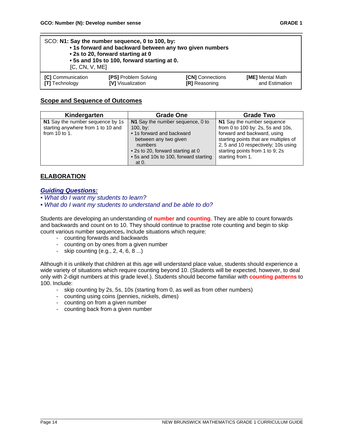| SCO: N1: Say the number sequence, 0 to 100, by:<br>• 1s forward and backward between any two given numbers<br>• 2s to 20, forward starting at 0<br>• 5s and 10s to 100, forward starting at 0.<br>[C, CN, V, ME] |  |  |  |
|------------------------------------------------------------------------------------------------------------------------------------------------------------------------------------------------------------------|--|--|--|
| <b>[PS] Problem Solving</b><br>[C] Communication<br>[ME] Mental Math<br>[CN] Connections<br>and Estimation<br><b>[T]</b> Technology<br>[V] Visualization<br><b>IRI</b> Reasoning                                 |  |  |  |

\_\_\_\_\_\_\_\_\_\_\_\_\_\_\_\_\_\_\_\_\_\_\_\_\_\_\_\_\_\_\_\_\_\_\_\_\_\_\_\_\_\_\_\_\_\_\_\_\_\_\_\_\_\_\_\_\_\_\_\_\_\_\_\_\_\_\_\_\_\_

# **Scope and Sequence of Outcomes**

| Kindergarten                                                                            | <b>Grade One</b>                                                                                                                                                                                     | <b>Grade Two</b>                                                                                                                                                                                                                      |
|-----------------------------------------------------------------------------------------|------------------------------------------------------------------------------------------------------------------------------------------------------------------------------------------------------|---------------------------------------------------------------------------------------------------------------------------------------------------------------------------------------------------------------------------------------|
| N1 Say the number sequence by 1s<br>starting anywhere from 1 to 10 and<br>from 10 to 1. | N1 Say the number sequence, 0 to<br>100, by:<br>• 1s forward and backward<br>between any two given<br>numbers<br>• 2s to 20, forward starting at 0<br>• 5s and 10s to 100, forward starting<br>at 0. | N1 Say the number sequence<br>from 0 to 100 by: 2s, 5s and 10s,<br>forward and backward, using<br>starting points that are multiples of<br>2, 5 and 10 respectively; 10s using<br>starting points from 1 to 9; 2s<br>starting from 1. |

# **ELABORATION**

#### *Guiding Questions:*

- *What do I want my students to learn?*
- *What do I want my students to understand and be able to do?*

Students are developing an understanding of **number** and **counting**. They are able to count forwards and backwards and count on to 10. They should continue to practise rote counting and begin to skip count various number sequences**.** Include situations which require:

- counting forwards and backwards
- counting on by ones from a given number
- skip counting (e.g., 2, 4, 6, 8 ...)

Although it is unlikely that children at this age will understand place value, students should experience a wide variety of situations which require counting beyond 10. (Students will be expected, however, to deal only with 2-digit numbers at this grade level.). Students should become familiar with **counting patterns** to 100. Include:

- skip counting by 2s, 5s, 10s (starting from 0, as well as from other numbers)
- counting using coins (pennies, nickels, dimes)
- counting on from a given number
- counting back from a given number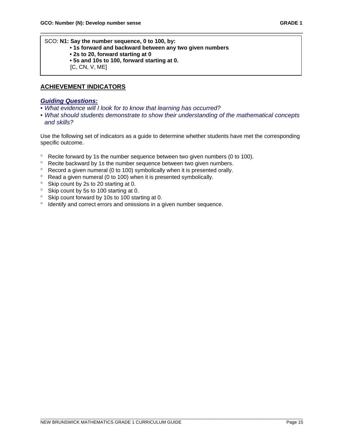SCO: **N1: Say the number sequence, 0 to 100, by:**

- **1s forward and backward between any two given numbers**
- **2s to 20, forward starting at 0**
- **5s and 10s to 100, forward starting at 0.**
- [C, CN, V, ME]

# **ACHIEVEMENT INDICATORS**

#### *Guiding Questions:*

- *What evidence will I look for to know that learning has occurred?*
- *What should students demonstrate to show their understanding of the mathematical concepts and skills?*

\_\_\_\_\_\_\_\_\_\_\_\_\_\_\_\_\_\_\_\_\_\_\_\_\_\_\_\_\_\_\_\_\_\_\_\_\_\_\_\_\_\_\_\_\_\_\_\_\_\_\_\_\_\_\_\_\_\_\_\_\_\_\_\_\_\_\_\_\_\_

Use the following set of indicators as a guide to determine whether students have met the corresponding specific outcome.

- ° Recite forward by 1s the number sequence between two given numbers (0 to 100).
- ° Recite backward by 1s the number sequence between two given numbers.
- ° Record a given numeral (0 to 100) symbolically when it is presented orally.
- $\degree$  Read a given numeral (0 to 100) when it is presented symbolically.
- ° Skip count by 2s to 20 starting at 0.
- ° Skip count by 5s to 100 starting at 0.
- ° Skip count forward by 10s to 100 starting at 0.
- ° Identify and correct errors and omissions in a given number sequence.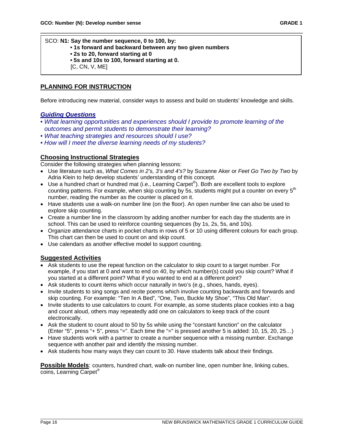SCO: **N1: Say the number sequence, 0 to 100, by: • 1s forward and backward between any two given numbers • 2s to 20, forward starting at 0 • 5s and 10s to 100, forward starting at 0.** [C, CN, V, ME]

#### **PLANNING FOR INSTRUCTION**

Before introducing new material, consider ways to assess and build on students' knowledge and skills.

\_\_\_\_\_\_\_\_\_\_\_\_\_\_\_\_\_\_\_\_\_\_\_\_\_\_\_\_\_\_\_\_\_\_\_\_\_\_\_\_\_\_\_\_\_\_\_\_\_\_\_\_\_\_\_\_\_\_\_\_\_\_\_\_\_\_\_\_\_\_

#### *Guiding Questions*

- *What learning opportunities and experiences should I provide to promote learning of the outcomes and permit students to demonstrate their learning?*
- *What teaching strategies and resources should I use?*
- *How will I meet the diverse learning needs of my students?*

#### **Choosing Instructional Strategies**

Consider the following strategies when planning lessons:

- Use literature such as, *What Comes in 2's, 3's and 4's?* by Suzanne Aker or *Feet Go Two by Two* by Adria Klein to help develop students' understanding of this concept.
- Use a hundred chart or hundred mat (i.e., Learning Carpet<sup>®</sup>). Both are excellent tools to explore counting patterns. For example, when skip counting by 5s, students might put a counter on every  $5<sup>th</sup>$ number, reading the number as the counter is placed on it.
- Have students use a walk-on number line (on the floor). An open number line can also be used to explore skip counting.
- Create a number line in the classroom by adding another number for each day the students are in school. This can be used to reinforce counting sequences (by 1s, 2s, 5s, and 10s).
- Organize attendance charts in pocket charts in rows of 5 or 10 using different colours for each group. This chart can then be used to count on and skip count.
- Use calendars as another effective model to support counting.

#### **Suggested Activities**

- Ask students to use the repeat function on the calculator to skip count to a target number. For example, if you start at 0 and want to end on 40, by which number(s) could you skip count? What if you started at a different point? What if you wanted to end at a different point?
- Ask students to count items which occur naturally in two's (e.g., shoes, hands, eyes).
- Invite students to sing songs and recite poems which involve counting backwards and forwards and skip counting. For example: "Ten In A Bed", "One, Two, Buckle My Shoe", "This Old Man".
- Invite students to use calculators to count. For example, as some students place cookies into a bag and count aloud, others may repeatedly add one on calculators to keep track of the count electronically.
- Ask the student to count aloud to 50 by 5s while using the "constant function" on the calculator (Enter "5", press "+ 5", press "=". Each time the "=" is pressed another 5 is added: 10, 15, 20, 25…)
- Have students work with a partner to create a number sequence with a missing number. Exchange sequence with another pair and identify the missing number.
- Ask students how many ways they can count to 30. Have students talk about their findings.

**Possible Models**: counters, hundred chart, walk-on number line, open number line, linking cubes, coins, Learning Carpet®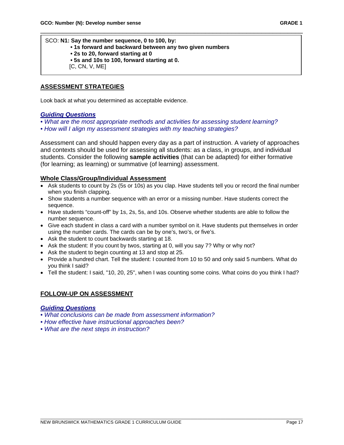SCO: **N1: Say the number sequence, 0 to 100, by: • 1s forward and backward between any two given numbers • 2s to 20, forward starting at 0 • 5s and 10s to 100, forward starting at 0.** [C, CN, V, ME]

# **ASSESSMENT STRATEGIES**

Look back at what you determined as acceptable evidence.

#### *Guiding Questions*

- *What are the most appropriate methods and activities for assessing student learning?*
- *How will I align my assessment strategies with my teaching strategies?*

Assessment can and should happen every day as a part of instruction. A variety of approaches and contexts should be used for assessing all students: as a class, in groups, and individual students. Consider the following **sample activities** (that can be adapted) for either formative (for learning; as learning) or summative (of learning) assessment.

\_\_\_\_\_\_\_\_\_\_\_\_\_\_\_\_\_\_\_\_\_\_\_\_\_\_\_\_\_\_\_\_\_\_\_\_\_\_\_\_\_\_\_\_\_\_\_\_\_\_\_\_\_\_\_\_\_\_\_\_\_\_\_\_\_\_\_\_\_\_

#### **Whole Class/Group/Individual Assessment**

- Ask students to count by 2s (5s or 10s) as you clap. Have students tell you or record the final number when you finish clapping.
- Show students a number sequence with an error or a missing number. Have students correct the sequence.
- Have students "count-off" by 1s, 2s, 5s, and 10s. Observe whether students are able to follow the number sequence.
- Give each student in class a card with a number symbol on it. Have students put themselves in order using the number cards. The cards can be by one's, two's, or five's.
- Ask the student to count backwards starting at 18.
- Ask the student: If you count by twos, starting at 0, will you say 7? Why or why not?
- Ask the student to begin counting at 13 and stop at 25.
- Provide a hundred chart. Tell the student: I counted from 10 to 50 and only said 5 numbers. What do you think I said?
- Tell the student: I said, "10, 20, 25", when I was counting some coins. What coins do you think I had?

#### **FOLLOW-UP ON ASSESSMENT**

#### *Guiding Questions*

- *What conclusions can be made from assessment information?*
- *How effective have instructional approaches been?*
- *What are the next steps in instruction?*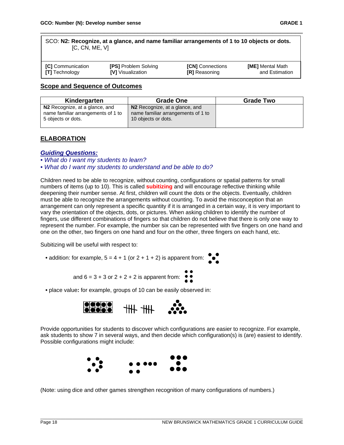| SCO: N2: Recognize, at a glance, and name familiar arrangements of 1 to 10 objects or dots. |  |
|---------------------------------------------------------------------------------------------|--|
| [C, CN, ME, V]                                                                              |  |
|                                                                                             |  |

\_\_\_\_\_\_\_\_\_\_\_\_\_\_\_\_\_\_\_\_\_\_\_\_\_\_\_\_\_\_\_\_\_\_\_\_\_\_\_\_\_\_\_\_\_\_\_\_\_\_\_\_\_\_\_\_\_\_\_\_\_\_\_\_\_\_\_\_\_\_

| <b>[C]</b> Communication    | <b>[ME]</b> Mental Math |
|-----------------------------|-------------------------|
| <b>[PS]</b> Problem Solving | <b>[CN]</b> Connections |
| <b>[T]</b> Technology       | and Estimation          |
| <b>IVI</b> Visualization    | <b>[R]</b> Reasoning    |

#### **Scope and Sequence of Outcomes**

| Kindergarten<br><b>Grade One</b>                                     |                                                                      | <b>Grade Two</b> |
|----------------------------------------------------------------------|----------------------------------------------------------------------|------------------|
| N2 Recognize, at a glance, and<br>name familiar arrangements of 1 to | N2 Recognize, at a glance, and<br>name familiar arrangements of 1 to |                  |
| 5 objects or dots.                                                   | 10 objects or dots.                                                  |                  |

# **ELABORATION**

#### *Guiding Questions:*

*• What do I want my students to learn?* 

*• What do I want my students to understand and be able to do?*

Children need to be able to recognize, without counting, configurations or spatial patterns for small numbers of items (up to 10). This is called **subitizing** and will encourage reflective thinking while deepening their number sense. At first, children will count the dots or the objects. Eventually, children must be able to recognize the arrangements without counting. To avoid the misconception that an arrangement can only represent a specific quantity if it is arranged in a certain way, it is very important to vary the orientation of the objects, dots, or pictures. When asking children to identify the number of fingers, use different combinations of fingers so that children do not believe that there is only one way to represent the number. For example, the number six can be represented with five fingers on one hand and one on the other, two fingers on one hand and four on the other, three fingers on each hand, etc.

Subitizing will be useful with respect to:

• addition: for example,  $5 = 4 + 1$  (or  $2 + 1 + 2$ ) is apparent from:

and 
$$
6 = 3 + 3
$$
 or  $2 + 2 + 2$  is apparent from:

**•** place value**:** for example, groups of 10 can be easily observed in:



Provide opportunities for students to discover which configurations are easier to recognize. For example, ask students to show 7 in several ways, and then decide which configuration(s) is (are) easiest to identify. Possible configurations might include:



(Note: using dice and other games strengthen recognition of many configurations of numbers.)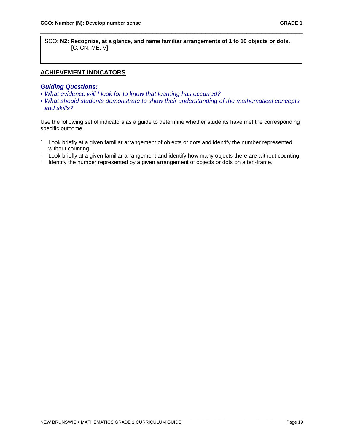SCO: **N2: Recognize, at a glance, and name familiar arrangements of 1 to 10 objects or dots.** [C, CN, ME, V]

\_\_\_\_\_\_\_\_\_\_\_\_\_\_\_\_\_\_\_\_\_\_\_\_\_\_\_\_\_\_\_\_\_\_\_\_\_\_\_\_\_\_\_\_\_\_\_\_\_\_\_\_\_\_\_\_\_\_\_\_\_\_\_\_\_\_\_\_\_\_

# **ACHIEVEMENT INDICATORS**

#### *Guiding Questions:*

- *What evidence will I look for to know that learning has occurred?*
- *What should students demonstrate to show their understanding of the mathematical concepts and skills?*

Use the following set of indicators as a guide to determine whether students have met the corresponding specific outcome.

- ° Look briefly at a given familiar arrangement of objects or dots and identify the number represented without counting.
- ° Look briefly at a given familiar arrangement and identify how many objects there are without counting.
- ° Identify the number represented by a given arrangement of objects or dots on a ten-frame.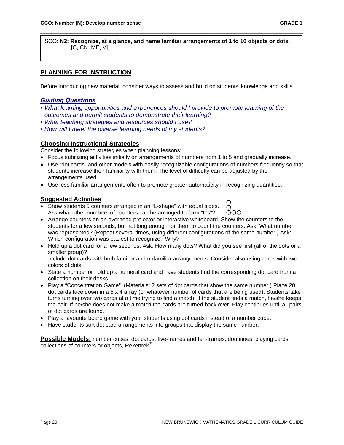SCO: **N2: Recognize, at a glance, and name familiar arrangements of 1 to 10 objects or dots.**  $[C, CN, ME, V]$ 

\_\_\_\_\_\_\_\_\_\_\_\_\_\_\_\_\_\_\_\_\_\_\_\_\_\_\_\_\_\_\_\_\_\_\_\_\_\_\_\_\_\_\_\_\_\_\_\_\_\_\_\_\_\_\_\_\_\_\_\_\_\_\_\_\_\_\_\_\_\_

# **PLANNING FOR INSTRUCTION**

Before introducing new material, consider ways to assess and build on students' knowledge and skills.

#### *Guiding Questions*

- *What learning opportunities and experiences should I provide to promote learning of the outcomes and permit students to demonstrate their learning?*
- *What teaching strategies and resources should I use?*
- *How will I meet the diverse learning needs of my students?*

#### **Choosing Instructional Strategies**

Consider the following strategies when planning lessons:

- Focus subitizing activities initially on arrangements of numbers from 1 to 5 and gradually increase.
- Use "dot cards" and other models with easily recognizable configurations of numbers frequently so that students increase their familiarity with them. The level of difficulty can be adjusted by the arrangements used.
- Use less familiar arrangements often to promote greater automaticity in recognizing quantities.

#### **Suggested Activities**

- Show students 5 counters arranged in an "L-shape" with equal sides. Ask what other numbers of counters can be arranged to form "L's"?
- Arrange counters on an overhead projector or interactive whiteboard. Show the counters to the students for a few seconds, but not long enough for them to count the counters. Ask: What number was represented? (Repeat several times, using different configurations of the same number.) Ask: Which configuration was easiest to recognize? Why?
- Hold up a dot card for a few seconds. Ask: How many dots? What did you see first (all of the dots or a smaller group)?

 Include dot cards with both familiar and unfamiliar arrangements. Consider also using cards with two colors of dots.

- State a number or hold up a numeral card and have students find the corresponding dot card from a collection on their desks.
- Play a "Concentration Game". (Materials: 2 sets of dot cards that show the same number.) Place 20 dot cards face down in a 5 x 4 array (or whatever number of cards that are being used). Students take turns turning over two cards at a time trying to find a match. If the student finds a match, he/she keeps the pair. If he/she does not make a match the cards are turned back over. Play continues until all pairs of dot cards are found.
- Play a favourite board game with your students using dot cards instead of a number cube.
- Have students sort dot card arrangements into groups that display the same number.

**Possible Models:** number cubes, dot cards, five-frames and ten-frames, dominoes, playing cards, collections of counters or objects, Rekenrek®

Ω  $\circ$ ÕOO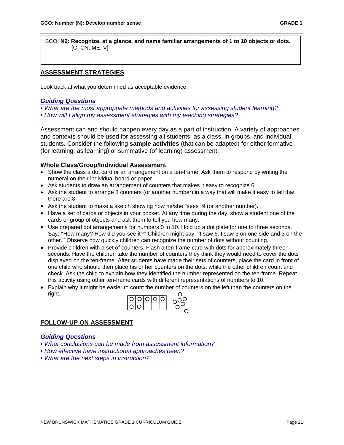SCO: **N2: Recognize, at a glance, and name familiar arrangements of 1 to 10 objects or dots.**  $[C, CN, ME, V]$ 

\_\_\_\_\_\_\_\_\_\_\_\_\_\_\_\_\_\_\_\_\_\_\_\_\_\_\_\_\_\_\_\_\_\_\_\_\_\_\_\_\_\_\_\_\_\_\_\_\_\_\_\_\_\_\_\_\_\_\_\_\_\_\_\_\_\_\_\_\_\_

# **ASSESSMENT STRATEGIES**

Look back at what you determined as acceptable evidence.

#### *Guiding Questions*

*• What are the most appropriate methods and activities for assessing student learning?*

*• How will I align my assessment strategies with my teaching strategies?*

Assessment can and should happen every day as a part of instruction. A variety of approaches and contexts should be used for assessing all students: as a class, in groups, and individual students. Consider the following **sample activities** (that can be adapted) for either formative (for learning; as learning) or summative (of learning) assessment.

# **Whole Class/Group/Individual Assessment**

- Show the class a dot card or an arrangement on a ten-frame. Ask them to respond by writing the numeral on their individual board or paper.
- Ask students to draw an arrangement of counters that makes it easy to recognize 6.
- Ask the student to arrange 8 counters (or another number) in a way that will make it easy to tell that there are 8.
- Ask the student to make a sketch showing how he/she "sees" 9 (or another number).
- Have a set of cards or objects in your pocket. At any time during the day, show a student one of the cards or group of objects and ask them to tell you how many.
- Use prepared dot arrangements for numbers 0 to 10. Hold up a dot plate for one to three seconds. Say: ''How many? How did you see it?'' Children might say, ''I saw 6. I saw 3 on one side and 3 on the other.'' Observe how quickly children can recognize the number of dots without counting.
- Provide children with a set of counters. Flash a ten-frame card with dots for approximately three seconds. Have the children take the number of counters they think they would need to cover the dots displayed on the ten-frame. After students have made their sets of counters, place the card in front of one child who should then place his or her counters on the dots, while the other children count and check. Ask the child to explain how they identified the number represented on the ten-frame. Repeat this activity using other ten-frame cards with different representations of numbers to 10.
- Explain why it might be easier to count the number of counters on the left than the counters on the right. Ω



# **FOLLOW-UP ON ASSESSMENT**

# *Guiding Questions*

- *What conclusions can be made from assessment information?*
- *How effective have instructional approaches been?*
- *What are the next steps in instruction?*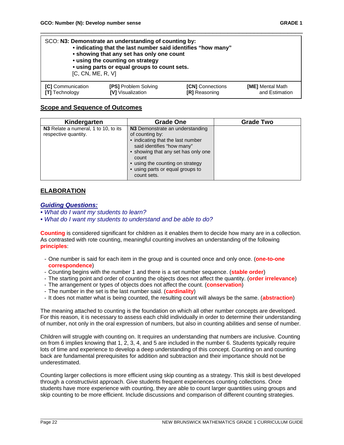| SCO: N3: Demonstrate an understanding of counting by:<br>• indicating that the last number said identifies "how many"<br>• showing that any set has only one count<br>• using the counting on strategy<br>• using parts or equal groups to count sets.<br>[C, CN, ME, R, V] |                             |                         |                  |
|-----------------------------------------------------------------------------------------------------------------------------------------------------------------------------------------------------------------------------------------------------------------------------|-----------------------------|-------------------------|------------------|
| [C] Communication                                                                                                                                                                                                                                                           | <b>[PS] Problem Solving</b> | <b>[CN]</b> Connections | [ME] Mental Math |
| <b>[T]</b> Technology                                                                                                                                                                                                                                                       | [V] Visualization           | <b>IRI</b> Reasoning    | and Estimation   |

\_\_\_\_\_\_\_\_\_\_\_\_\_\_\_\_\_\_\_\_\_\_\_\_\_\_\_\_\_\_\_\_\_\_\_\_\_\_\_\_\_\_\_\_\_\_\_\_\_\_\_\_\_\_\_\_\_\_\_\_\_\_\_\_\_\_\_\_\_\_

#### **Scope and Sequence of Outcomes**

| Kindergarten                                                 | Grade One                                                                                                                                                                                                                                                    |  |
|--------------------------------------------------------------|--------------------------------------------------------------------------------------------------------------------------------------------------------------------------------------------------------------------------------------------------------------|--|
| N3 Relate a numeral, 1 to 10, to its<br>respective quantity. | N3 Demonstrate an understanding<br>of counting by:<br>• indicating that the last number<br>said identifies "how many"<br>• showing that any set has only one<br>count<br>• using the counting on strategy<br>• using parts or equal groups to<br>count sets. |  |

# **ELABORATION**

#### *Guiding Questions:*

- *What do I want my students to learn?*
- *What do I want my students to understand and be able to do?*

**Counting** is considered significant for children as it enables them to decide how many are in a collection. As contrasted with rote counting, meaningful counting involves an understanding of the following **principles**:

- One number is said for each item in the group and is counted once and only once. (**one-to-one correspondence**)
- Counting begins with the number 1 and there is a set number sequence. (**stable order**)
- The starting point and order of counting the objects does not affect the quantity. (**order irrelevance**)
- The arrangement or types of objects does not affect the count. (**conservation**)
- The number in the set is the last number said. (**cardinality**)
- It does not matter what is being counted, the resulting count will always be the same. (**abstraction**)

The meaning attached to counting is the foundation on which all other number concepts are developed. For this reason, it is necessary to assess each child individually in order to determine their understanding of number, not only in the oral expression of numbers, but also in counting abilities and sense of number.

Children will struggle with counting on. It requires an understanding that numbers are inclusive. Counting on from 6 implies knowing that 1, 2, 3, 4, and 5 are included in the number 6. Students typically require lots of time and experience to develop a deep understanding of this concept. Counting on and counting back are fundamental prerequisites for addition and subtraction and their importance should not be underestimated.

Counting larger collections is more efficient using skip counting as a strategy. This skill is best developed through a constructivist approach. Give students frequent experiences counting collections. Once students have more experience with counting, they are able to count larger quantities using groups and skip counting to be more efficient. Include discussions and comparison of different counting strategies.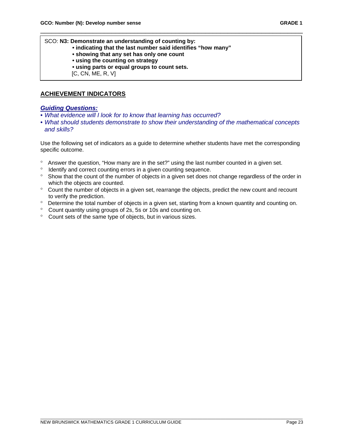SCO: **N3: Demonstrate an understanding of counting by:**

- **indicating that the last number said identifies "how many"**
- **showing that any set has only one count**
- **using the counting on strategy**
- **using parts or equal groups to count sets.**
- [C, CN, ME, R, V]

# **ACHIEVEMENT INDICATORS**

#### *Guiding Questions:*

- *What evidence will I look for to know that learning has occurred?*
- *What should students demonstrate to show their understanding of the mathematical concepts and skills?*

\_\_\_\_\_\_\_\_\_\_\_\_\_\_\_\_\_\_\_\_\_\_\_\_\_\_\_\_\_\_\_\_\_\_\_\_\_\_\_\_\_\_\_\_\_\_\_\_\_\_\_\_\_\_\_\_\_\_\_\_\_\_\_\_\_\_\_\_\_\_

Use the following set of indicators as a guide to determine whether students have met the corresponding specific outcome.

- ° Answer the question, "How many are in the set?" using the last number counted in a given set.
- ° Identify and correct counting errors in a given counting sequence.
- ° Show that the count of the number of objects in a given set does not change regardless of the order in which the objects are counted.
- ° Count the number of objects in a given set, rearrange the objects, predict the new count and recount to verify the prediction.
- ° Determine the total number of objects in a given set, starting from a known quantity and counting on.
- ° Count quantity using groups of 2s, 5s or 10s and counting on.
- ° Count sets of the same type of objects, but in various sizes.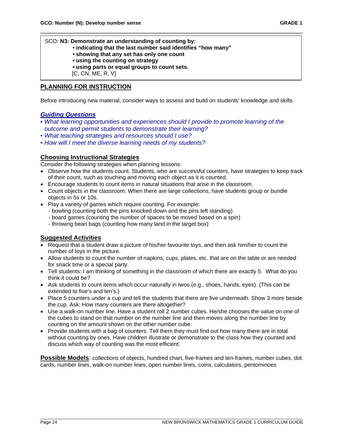SCO: **N3: Demonstrate an understanding of counting by:**

- **indicating that the last number said identifies "how many"**
- **showing that any set has only one count**
- **using the counting on strategy**
- **using parts or equal groups to count sets.**

[C, CN, ME, R, V]

#### **PLANNING FOR INSTRUCTION**

Before introducing new material, consider ways to assess and build on students' knowledge and skills.

\_\_\_\_\_\_\_\_\_\_\_\_\_\_\_\_\_\_\_\_\_\_\_\_\_\_\_\_\_\_\_\_\_\_\_\_\_\_\_\_\_\_\_\_\_\_\_\_\_\_\_\_\_\_\_\_\_\_\_\_\_\_\_\_\_\_\_\_\_\_

#### *Guiding Questions*

- *What learning opportunities and experiences should I provide to promote learning of the outcome and permit students to demonstrate their learning?*
- *What teaching strategies and resources should I use?*
- *How will I meet the diverse learning needs of my students?*

#### **Choosing Instructional Strategies**

Consider the following strategies when planning lessons:

- Observe how the students count. Students, who are successful counters, have strategies to keep track of their count, such as touching and moving each object as it is counted.
- Encourage students to count items in natural situations that arise in the classroom.
- Count objects in the classroom. When there are large collections, have students group or bundle objects in 5s or 10s.
- Play a variety of games which require counting. For example:
	- bowling (counting both the pins knocked down and the pins left standing)
	- board games (counting the number of spaces to be moved based on a spin)
	- throwing bean bags (counting how many land in the target box)

# **Suggested Activities**

- Request that a student draw a picture of his/her favourite toys, and then ask him/her to count the number of toys in the picture.
- Allow students to count the number of napkins, cups, plates, etc. that are on the table or are needed for snack time or a special party.
- Tell students: I am thinking of something in the classroom of which there are exactly 5. What do you think it could be?
- Ask students to count items which occur naturally in twos (e.g., shoes, hands, eyes). (This can be extended to five's and ten's.)
- Place 5 counters under a cup and tell the students that there are five underneath. Show 3 more beside the cup. Ask: How many counters are there altogether?
- Use a walk-on number line. Have a student roll 2 number cubes. He/she chooses the value on one of the cubes to stand on that number on the number line and then moves along the number line by counting on the amount shown on the other number cube.
- Provide students with a bag of counters. Tell them they must find out how many there are in total without counting by ones. Have children illustrate or demonstrate to the class how they counted and discuss which way of counting was the most efficient.

Possible Models: collections of objects, hundred chart, five-frames and ten-frames, number cubes, dot cards, number lines, walk-on number lines, open number lines, coins, calculators, pentominoes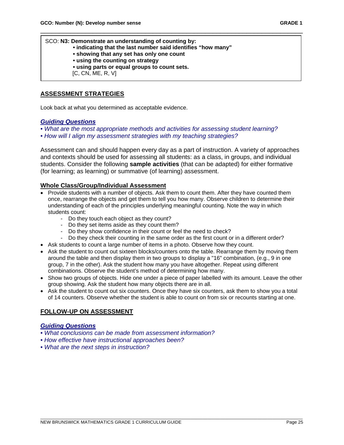SCO: **N3: Demonstrate an understanding of counting by:**

**• indicating that the last number said identifies "how many"**

\_\_\_\_\_\_\_\_\_\_\_\_\_\_\_\_\_\_\_\_\_\_\_\_\_\_\_\_\_\_\_\_\_\_\_\_\_\_\_\_\_\_\_\_\_\_\_\_\_\_\_\_\_\_\_\_\_\_\_\_\_\_\_\_\_\_\_\_\_\_

- **showing that any set has only one count**
- **using the counting on strategy**
- **using parts or equal groups to count sets.**

[C, CN, ME, R, V]

# **ASSESSMENT STRATEGIES**

Look back at what you determined as acceptable evidence.

# *Guiding Questions*

*• What are the most appropriate methods and activities for assessing student learning? • How will I align my assessment strategies with my teaching strategies?*

Assessment can and should happen every day as a part of instruction. A variety of approaches and contexts should be used for assessing all students: as a class, in groups, and individual students. Consider the following **sample activities** (that can be adapted) for either formative (for learning; as learning) or summative (of learning) assessment.

#### **Whole Class/Group/Individual Assessment**

- Provide students with a number of objects. Ask them to count them. After they have counted them once, rearrange the objects and get them to tell you how many. Observe children to determine their understanding of each of the principles underlying meaningful counting. Note the way in which students count:
	- Do they touch each object as they count?
	- Do they set items aside as they count them?
	- Do they show confidence in their count or feel the need to check?
	- Do they check their counting in the same order as the first count or in a different order?
- Ask students to count a large number of items in a photo. Observe how they count.
- Ask the student to count out sixteen blocks/counters onto the table. Rearrange them by moving them around the table and then display them in two groups to display a "16" combination, (e.g., 9 in one group, 7 in the other). Ask the student how many you have altogether. Repeat using different combinations. Observe the student's method of determining how many.
- Show two groups of objects. Hide one under a piece of paper labelled with its amount. Leave the other group showing. Ask the student how many objects there are in all.
- Ask the student to count out six counters. Once they have six counters, ask them to show you a total of 14 counters. Observe whether the student is able to count on from six or recounts starting at one.

# **FOLLOW-UP ON ASSESSMENT**

# *Guiding Questions*

- *What conclusions can be made from assessment information?*
- *How effective have instructional approaches been?*
- *What are the next steps in instruction?*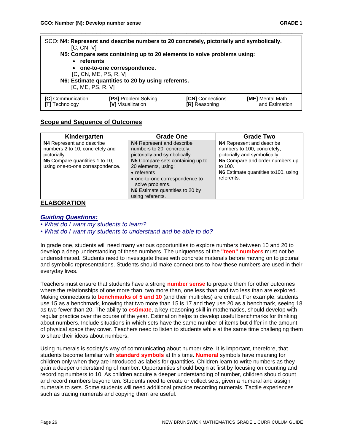| SCO: N4: Represent and describe numbers to 20 concretely, pictorially and symbolically.<br>[C, CN, V]<br>N5: Compare sets containing up to 20 elements to solve problems using:<br>• referents<br>• one-to-one correspondence.<br>[C, CN, ME, PS, R, V]<br>N6: Estimate quantities to 20 by using referents.<br>[C, ME, PS, R, V] |  |  |  |  |
|-----------------------------------------------------------------------------------------------------------------------------------------------------------------------------------------------------------------------------------------------------------------------------------------------------------------------------------|--|--|--|--|
| <b>[C]</b> Communication<br><b>[PS] Problem Solving</b><br><b>[CN]</b> Connections<br><b>[ME]</b> Mental Math<br>and Estimation<br><b>IVI</b> Visualization<br><b>ITI</b> Technology<br><b>[R]</b> Reasoning                                                                                                                      |  |  |  |  |

\_\_\_\_\_\_\_\_\_\_\_\_\_\_\_\_\_\_\_\_\_\_\_\_\_\_\_\_\_\_\_\_\_\_\_\_\_\_\_\_\_\_\_\_\_\_\_\_\_\_\_\_\_\_\_\_\_\_\_\_\_\_\_\_\_\_\_\_\_\_

#### **Scope and Sequence of Outcomes**

| Kindergarten                                                                                                                                       | <b>Grade One</b>                                                                                                                                                                                                                                                                       | <b>Grade Two</b>                                                                                                                                                                              |
|----------------------------------------------------------------------------------------------------------------------------------------------------|----------------------------------------------------------------------------------------------------------------------------------------------------------------------------------------------------------------------------------------------------------------------------------------|-----------------------------------------------------------------------------------------------------------------------------------------------------------------------------------------------|
| N4 Represent and describe<br>numbers 2 to 10, concretely and<br>pictorially.<br>N5 Compare quantities 1 to 10,<br>using one-to-one correspondence. | N4 Represent and describe<br>numbers to 20, concretely,<br>pictorially and symbolically.<br>N5 Compare sets containing up to<br>20 elements, using:<br>$\bullet$ referents<br>• one-to-one correspondence to<br>solve problems.<br>N6 Estimate quantities to 20 by<br>using referents. | N4 Represent and describe<br>numbers to 100, concretely,<br>pictorially and symbolically.<br>N5 Compare and order numbers up<br>to 100.<br>N6 Estimate quantities to 100, using<br>referents. |

#### **ELABORATION**

#### *Guiding Questions:*

*• What do I want my students to learn?* 

*• What do I want my students to understand and be able to do?*

In grade one, students will need many various opportunities to explore numbers between 10 and 20 to develop a deep understanding of these numbers. The uniqueness of the **"teen" numbers** must not be underestimated. Students need to investigate these with concrete materials before moving on to pictorial and symbolic representations. Students should make connections to how these numbers are used in their everyday lives.

Teachers must ensure that students have a strong **number sense** to prepare them for other outcomes where the relationships of one more than, two more than, one less than and two less than are explored. Making connections to **benchmarks of 5 and 10** (and their multiples) are critical. For example, students use 15 as a benchmark, knowing that two more than 15 is 17 and they use 20 as a benchmark, seeing 18 as two fewer than 20. The ability to **estimate**, a key reasoning skill in mathematics, should develop with regular practice over the course of the year. Estimation helps to develop useful benchmarks for thinking about numbers. Include situations in which sets have the same number of items but differ in the amount of physical space they cover. Teachers need to listen to students while at the same time challenging them to share their ideas about numbers.

Using numerals is society's way of communicating about number size. It is important, therefore, that students become familiar with **standard symbols** at this time. **Numeral** symbols have meaning for children only when they are introduced as labels for quantities. Children learn to write numbers as they gain a deeper understanding of number. Opportunities should begin at first by focusing on counting and recording numbers to 10. As children acquire a deeper understanding of number, children should count and record numbers beyond ten. Students need to create or collect sets, given a numeral and assign numerals to sets. Some students will need additional practice recording numerals. Tactile experiences such as tracing numerals and copying them are useful.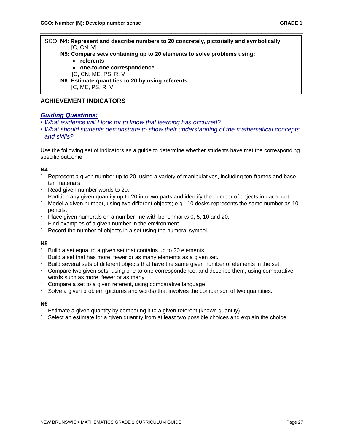SCO: **N4: Represent and describe numbers to 20 concretely, pictorially and symbolically.** [C, CN, V]

\_\_\_\_\_\_\_\_\_\_\_\_\_\_\_\_\_\_\_\_\_\_\_\_\_\_\_\_\_\_\_\_\_\_\_\_\_\_\_\_\_\_\_\_\_\_\_\_\_\_\_\_\_\_\_\_\_\_\_\_\_\_\_\_\_\_\_\_\_\_

- **N5: Compare sets containing up to 20 elements to solve problems using:**
	- **referents**
	- **one-to-one correspondence.**
	- [C, CN, ME, PS, R, V]

 **N6: Estimate quantities to 20 by using referents.** [C, ME, PS, R, V]

# **ACHIEVEMENT INDICATORS**

#### *Guiding Questions:*

- *What evidence will I look for to know that learning has occurred?*
- *What should students demonstrate to show their understanding of the mathematical concepts and skills?*

Use the following set of indicators as a guide to determine whether students have met the corresponding specific outcome.

#### **N4**

- ° Represent a given number up to 20, using a variety of manipulatives, including ten-frames and base ten materials.
- ° Read given number words to 20.
- ° Partition any given quantity up to 20 into two parts and identify the number of objects in each part.
- ° Model a given number, using two different objects; e.g., 10 desks represents the same number as 10 pencils.
- ° Place given numerals on a number line with benchmarks 0, 5, 10 and 20.
- ° Find examples of a given number in the environment.
- ° Record the number of objects in a set using the numeral symbol.

#### **N5**

- ° Build a set equal to a given set that contains up to 20 elements.
- ° Build a set that has more, fewer or as many elements as a given set.
- ° Build several sets of different objects that have the same given number of elements in the set.
- ° Compare two given sets, using one-to-one correspondence, and describe them, using comparative words such as more, fewer or as many.
- ° Compare a set to a given referent, using comparative language.
- ° Solve a given problem (pictures and words) that involves the comparison of two quantities.

#### **N6**

- ° Estimate a given quantity by comparing it to a given referent (known quantity).
- Select an estimate for a given quantity from at least two possible choices and explain the choice.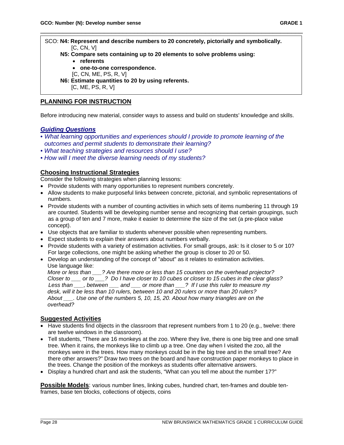SCO: **N4: Represent and describe numbers to 20 concretely, pictorially and symbolically.** [C, CN, V]

\_\_\_\_\_\_\_\_\_\_\_\_\_\_\_\_\_\_\_\_\_\_\_\_\_\_\_\_\_\_\_\_\_\_\_\_\_\_\_\_\_\_\_\_\_\_\_\_\_\_\_\_\_\_\_\_\_\_\_\_\_\_\_\_\_\_\_\_\_\_

- **N5: Compare sets containing up to 20 elements to solve problems using:**
	- **referents**
	- **one-to-one correspondence.**
	- [C, CN, ME, PS, R, V]

 **N6: Estimate quantities to 20 by using referents.** [C, ME, PS, R, V]

# **PLANNING FOR INSTRUCTION**

Before introducing new material, consider ways to assess and build on students' knowledge and skills.

#### *Guiding Questions*

- *What learning opportunities and experiences should I provide to promote learning of the outcomes and permit students to demonstrate their learning?*
- *What teaching strategies and resources should I use?*
- *How will I meet the diverse learning needs of my students?*

#### **Choosing Instructional Strategies**

Consider the following strategies when planning lessons:

- Provide students with many opportunities to represent numbers concretely.
- Allow students to make purposeful links between concrete, pictorial, and symbolic representations of numbers.
- Provide students with a number of counting activities in which sets of items numbering 11 through 19 are counted. Students will be developing number sense and recognizing that certain groupings, such as a group of ten and 7 more, make it easier to determine the size of the set (a pre-place value concept).
- Use objects that are familiar to students whenever possible when representing numbers.
- Expect students to explain their answers about numbers verbally.
- Provide students with a variety of estimation activities. For small groups, ask: Is it closer to 5 or 10? For large collections, one might be asking whether the group is closer to 20 or 50.
- Develop an understanding of the concept of "about" as it relates to estimation activities. Use language like:

 *More or less than \_\_\_? Are there more or less than 15 counters on the overhead projector? Closer to \_\_\_ or to \_\_\_? Do I have closer to 10 cubes or closer to 15 cubes in the clear glass? Less than \_\_\_, between \_\_\_ and \_\_\_ or more than \_\_\_? If I use this ruler to measure my desk, will it be less than 10 rulers, between 10 and 20 rulers or more than 20 rulers? About \_\_\_. Use one of the numbers 5, 10, 15, 20. About how many triangles are on the overhead?*

#### **Suggested Activities**

- Have students find objects in the classroom that represent numbers from 1 to 20 (e.g., twelve: there are twelve windows in the classroom).
- Tell students, "There are 16 monkeys at the zoo. Where they live, there is one big tree and one small tree. When it rains, the monkeys like to climb up a tree. One day when I visited the zoo, all the monkeys were in the trees. How many monkeys could be in the big tree and in the small tree? Are there other answers?" Draw two trees on the board and have construction paper monkeys to place in the trees. Change the position of the monkeys as students offer alternative answers.
- Display a hundred chart and ask the students, "What can you tell me about the number 17?"

**Possible Models**: various number lines, linking cubes, hundred chart, ten-frames and double tenframes, base ten blocks, collections of objects, coins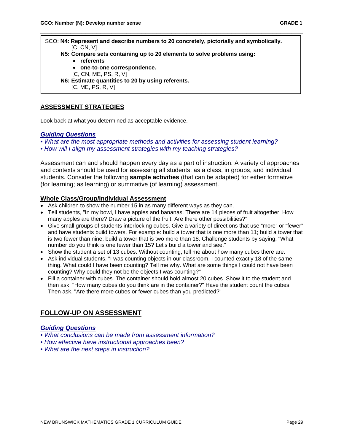SCO: **N4: Represent and describe numbers to 20 concretely, pictorially and symbolically.** [C, CN, V]  **N5: Compare sets containing up to 20 elements to solve problems using:** • **referents** • **one-to-one correspondence.** [C, CN, ME, PS, R, V]  **N6: Estimate quantities to 20 by using referents.**

\_\_\_\_\_\_\_\_\_\_\_\_\_\_\_\_\_\_\_\_\_\_\_\_\_\_\_\_\_\_\_\_\_\_\_\_\_\_\_\_\_\_\_\_\_\_\_\_\_\_\_\_\_\_\_\_\_\_\_\_\_\_\_\_\_\_\_\_\_\_

[C, ME, PS, R, V]

# **ASSESSMENT STRATEGIES**

Look back at what you determined as acceptable evidence.

#### *Guiding Questions*

*• What are the most appropriate methods and activities for assessing student learning?* 

*• How will I align my assessment strategies with my teaching strategies?*

Assessment can and should happen every day as a part of instruction. A variety of approaches and contexts should be used for assessing all students: as a class, in groups, and individual students. Consider the following **sample activities** (that can be adapted) for either formative (for learning; as learning) or summative (of learning) assessment.

#### **Whole Class/Group/Individual Assessment**

- Ask children to show the number 15 in as many different ways as they can.
- Tell students, "In my bowl, I have apples and bananas. There are 14 pieces of fruit altogether. How many apples are there? Draw a picture of the fruit. Are there other possibilities?"
- Give small groups of students interlocking cubes. Give a variety of directions that use "more" or "fewer" and have students build towers. For example: build a tower that is one more than 11; build a tower that is two fewer than nine; build a tower that is two more than 18. Challenge students by saying, "What number do you think is one fewer than 15? Let's build a tower and see."
- Show the student a set of 13 cubes. Without counting, tell me about how many cubes there are.
- Ask individual students, "I was counting objects in our classroom. I counted exactly 18 of the same thing. What could I have been counting? Tell me why. What are some things I could not have been counting? Why could they not be the objects I was counting?"
- Fill a container with cubes. The container should hold almost 20 cubes. Show it to the student and then ask, "How many cubes do you think are in the container?" Have the student count the cubes. Then ask, "Are there more cubes or fewer cubes than you predicted?"

# **FOLLOW-UP ON ASSESSMENT**

#### *Guiding Questions*

- *What conclusions can be made from assessment information?*
- *How effective have instructional approaches been?*
- *What are the next steps in instruction?*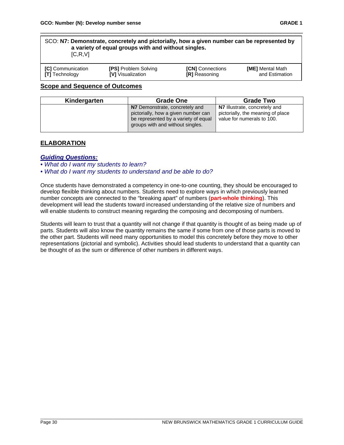| SCO: N7: Demonstrate, concretely and pictorially, how a given number can be represented by |  |  |
|--------------------------------------------------------------------------------------------|--|--|
| a variety of equal groups with and without singles.                                        |  |  |
| [C, R, V]                                                                                  |  |  |
|                                                                                            |  |  |

\_\_\_\_\_\_\_\_\_\_\_\_\_\_\_\_\_\_\_\_\_\_\_\_\_\_\_\_\_\_\_\_\_\_\_\_\_\_\_\_\_\_\_\_\_\_\_\_\_\_\_\_\_\_\_\_\_\_\_\_\_\_\_\_\_\_\_\_\_\_

| [C] Communication     | <b>[PS] Problem Solving</b> | <b>[CN]</b> Connections | <b>[ME]</b> Mental Math |
|-----------------------|-----------------------------|-------------------------|-------------------------|
| <b>[T]</b> Technology | <b>IVI</b> Visualization    | <b>[R]</b> Reasoning    | and Estimation          |

#### **Scope and Sequence of Outcomes**

| Kindergarten | <b>Grade One</b>                                                                                                                                  | <b>Grade Two</b>                                                                                 |  |
|--------------|---------------------------------------------------------------------------------------------------------------------------------------------------|--------------------------------------------------------------------------------------------------|--|
|              | N7 Demonstrate, concretely and<br>pictorially, how a given number can<br>be represented by a variety of equal<br>groups with and without singles. | N7 Illustrate, concretely and<br>pictorially, the meaning of place<br>value for numerals to 100. |  |

# **ELABORATION**

#### *Guiding Questions:*

*• What do I want my students to learn?* 

*• What do I want my students to understand and be able to do?*

Once students have demonstrated a competency in one-to-one counting, they should be encouraged to develop flexible thinking about numbers. Students need to explore ways in which previously learned number concepts are connected to the "breaking apart" of numbers (**part-whole thinking**). This development will lead the students toward increased understanding of the relative size of numbers and will enable students to construct meaning regarding the composing and decomposing of numbers.

Students will learn to trust that a quantity will not change if that quantity is thought of as being made up of parts. Students will also know the quantity remains the same if some from one of those parts is moved to the other part. Students will need many opportunities to model this concretely before they move to other representations (pictorial and symbolic). Activities should lead students to understand that a quantity can be thought of as the sum or difference of other numbers in different ways.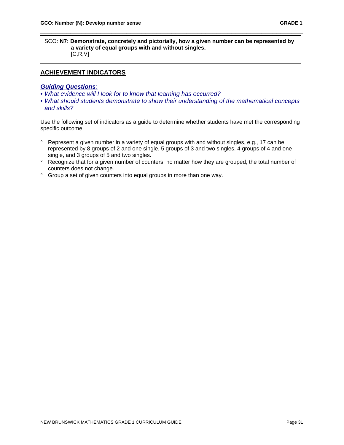SCO: **N7: Demonstrate, concretely and pictorially, how a given number can be represented by a variety of equal groups with and without singles.**  $[C, R, V]$ 

\_\_\_\_\_\_\_\_\_\_\_\_\_\_\_\_\_\_\_\_\_\_\_\_\_\_\_\_\_\_\_\_\_\_\_\_\_\_\_\_\_\_\_\_\_\_\_\_\_\_\_\_\_\_\_\_\_\_\_\_\_\_\_\_\_\_\_\_\_\_

# **ACHIEVEMENT INDICATORS**

#### *Guiding Questions:*

- *What evidence will I look for to know that learning has occurred?*
- *What should students demonstrate to show their understanding of the mathematical concepts and skills?*

Use the following set of indicators as a guide to determine whether students have met the corresponding specific outcome.

- ° Represent a given number in a variety of equal groups with and without singles, e.g., 17 can be represented by 8 groups of 2 and one single, 5 groups of 3 and two singles, 4 groups of 4 and one single, and 3 groups of 5 and two singles.
- ° Recognize that for a given number of counters, no matter how they are grouped, the total number of counters does not change.
- ° Group a set of given counters into equal groups in more than one way.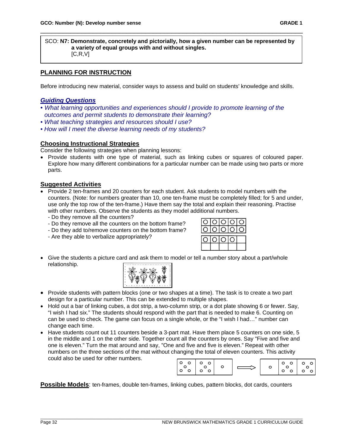SCO: **N7: Demonstrate, concretely and pictorially, how a given number can be represented by a variety of equal groups with and without singles.**  $[C, R, V]$ 

\_\_\_\_\_\_\_\_\_\_\_\_\_\_\_\_\_\_\_\_\_\_\_\_\_\_\_\_\_\_\_\_\_\_\_\_\_\_\_\_\_\_\_\_\_\_\_\_\_\_\_\_\_\_\_\_\_\_\_\_\_\_\_\_\_\_\_\_\_\_

# **PLANNING FOR INSTRUCTION**

Before introducing new material, consider ways to assess and build on students' knowledge and skills.

#### *Guiding Questions*

- *What learning opportunities and experiences should I provide to promote learning of the outcomes and permit students to demonstrate their learning?*
- *What teaching strategies and resources should I use?*
- *How will I meet the diverse learning needs of my students?*

#### **Choosing Instructional Strategies**

Consider the following strategies when planning lessons:

• Provide students with one type of material, such as linking cubes or squares of coloured paper. Explore how many different combinations for a particular number can be made using two parts or more parts.

#### **Suggested Activities**

- Provide 2 ten-frames and 20 counters for each student. Ask students to model numbers with the counters. (Note: for numbers greater than 10, one ten-frame must be completely filled; for 5 and under, use only the top row of the ten-frame.) Have them say the total and explain their reasoning. Practise with other numbers. Observe the students as they model additional numbers.
	- Do they remove all the counters?
	- Do they remove all the counters on the bottom frame?
	- Do they add to/remove counters on the bottom frame?
	- Are they able to verbalize appropriately?



• Give the students a picture card and ask them to model or tell a number story about a part/whole relationship.



- Provide students with pattern blocks (one or two shapes at a time). The task is to create a two part design for a particular number. This can be extended to multiple shapes.
- Hold out a bar of linking cubes, a dot strip, a two-column strip, or a dot plate showing 6 or fewer. Say, "I wish I had six." The students should respond with the part that is needed to make 6. Counting on can be used to check. The game can focus on a single whole, or the "I wish I had…" number can change each time.
- Have students count out 11 counters beside a 3-part mat. Have them place 5 counters on one side, 5 in the middle and 1 on the other side. Together count all the counters by ones. Say "Five and five and one is eleven." Turn the mat around and say, "One and five and five is eleven." Repeat with other numbers on the three sections of the mat without changing the total of eleven counters. This activity could also be used for other numbers.

 $\circ$  $\circ$  $\circ$  $\circ$  $\circ$  $\circ$  $\circ$  $\circ$  $\circ$  $\circ$  $\circ$  $\circ$  $\Omega$  $\circ$  $\circ$  $\circ$  $\circ$  $\circ$ ່໐  $\circ$  $\circ$ 

**Possible Models**: ten-frames, double ten-frames, linking cubes, pattern blocks, dot cards, counters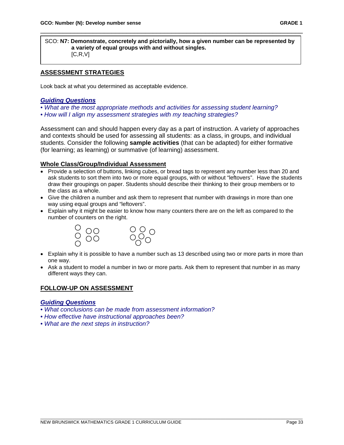SCO: **N7: Demonstrate, concretely and pictorially, how a given number can be represented by a variety of equal groups with and without singles.**  $[C, R, V]$ 

\_\_\_\_\_\_\_\_\_\_\_\_\_\_\_\_\_\_\_\_\_\_\_\_\_\_\_\_\_\_\_\_\_\_\_\_\_\_\_\_\_\_\_\_\_\_\_\_\_\_\_\_\_\_\_\_\_\_\_\_\_\_\_\_\_\_\_\_\_\_

# **ASSESSMENT STRATEGIES**

Look back at what you determined as acceptable evidence.

#### *Guiding Questions*

*• What are the most appropriate methods and activities for assessing student learning?* 

*• How will I align my assessment strategies with my teaching strategies?*

Assessment can and should happen every day as a part of instruction. A variety of approaches and contexts should be used for assessing all students: as a class, in groups, and individual students. Consider the following **sample activities** (that can be adapted) for either formative (for learning; as learning) or summative (of learning) assessment.

#### **Whole Class/Group/Individual Assessment**

- Provide a selection of buttons, linking cubes, or bread tags to represent any number less than 20 and ask students to sort them into two or more equal groups, with or without "leftovers". Have the students draw their groupings on paper. Students should describe their thinking to their group members or to the class as a whole.
- Give the children a number and ask them to represent that number with drawings in more than one way using equal groups and "leftovers".
- Explain why it might be easier to know how many counters there are on the left as compared to the number of counters on the right.



- Explain why it is possible to have a number such as 13 described using two or more parts in more than one way.
- Ask a student to model a number in two or more parts. Ask them to represent that number in as many different ways they can.

# **FOLLOW-UP ON ASSESSMENT**

#### *Guiding Questions*

- *What conclusions can be made from assessment information?*
- *How effective have instructional approaches been?*
- *What are the next steps in instruction?*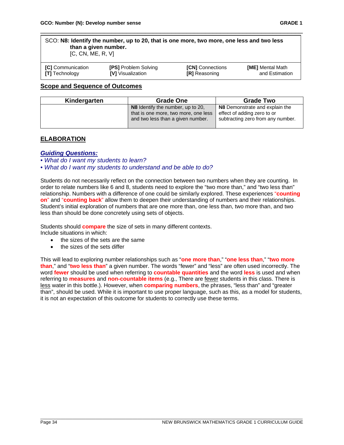| SCO: N8: Identify the number, up to 20, that is one more, two more, one less and two less<br>than a given number.<br>[C, CN, ME, R, V] |                             |                         |                         |
|----------------------------------------------------------------------------------------------------------------------------------------|-----------------------------|-------------------------|-------------------------|
| <b>[C]</b> Communication                                                                                                               | <b>[PS] Problem Solving</b> | <b>[CN]</b> Connections | <b>[ME]</b> Mental Math |

**[T]** Technology **[V]** Visualization **[R]** Reasoning and Estimation

\_\_\_\_\_\_\_\_\_\_\_\_\_\_\_\_\_\_\_\_\_\_\_\_\_\_\_\_\_\_\_\_\_\_\_\_\_\_\_\_\_\_\_\_\_\_\_\_\_\_\_\_\_\_\_\_\_\_\_\_\_\_\_\_\_\_\_\_\_\_

| <b>Scope and Sequence of Outcomes</b> |  |
|---------------------------------------|--|
|---------------------------------------|--|

| Kindergarten | <b>Grade One</b>                                                                                               | <b>Grade Two</b>                                                                                   |  |
|--------------|----------------------------------------------------------------------------------------------------------------|----------------------------------------------------------------------------------------------------|--|
|              | N8 Identify the number, up to 20,<br>that is one more, two more, one less<br>and two less than a given number. | N8 Demonstrate and explain the<br>effect of adding zero to or<br>subtracting zero from any number. |  |

# **ELABORATION**

#### *Guiding Questions:*

- *What do I want my students to learn?*
- *What do I want my students to understand and be able to do?*

Students do not necessarily reflect on the connection between two numbers when they are counting. In order to relate numbers like 6 and 8, students need to explore the "two more than," and "two less than" relationship. Numbers with a difference of one could be similarly explored. These experiences "**counting on**" and "**counting back**" allow them to deepen their understanding of numbers and their relationships. Student's initial exploration of numbers that are one more than, one less than, two more than, and two less than should be done concretely using sets of objects.

Students should **compare** the size of sets in many different contexts.

Include situations in which:

- the sizes of the sets are the same
- the sizes of the sets differ

This will lead to exploring number relationships such as "**one more than**," "**one less than**," "**two more than**," and "**two less than**" a given number. The words "fewer" and "less" are often used incorrectly. The word **fewer** should be used when referring to **countable quantities** and the word **less** is used and when referring to **measures** and **non-countable items** (e.g., There are fewer students in this class. There is less water in this bottle.). However, when **comparing numbers**, the phrases, "less than" and "greater than", should be used. While it is important to use proper language, such as this, as a model for students, it is not an expectation of this outcome for students to correctly use these terms.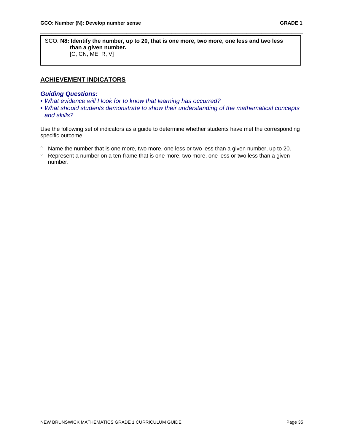SCO: **N8: Identify the number, up to 20, that is one more, two more, one less and two less than a given number.** [C, CN, ME, R, V]

\_\_\_\_\_\_\_\_\_\_\_\_\_\_\_\_\_\_\_\_\_\_\_\_\_\_\_\_\_\_\_\_\_\_\_\_\_\_\_\_\_\_\_\_\_\_\_\_\_\_\_\_\_\_\_\_\_\_\_\_\_\_\_\_\_\_\_\_\_\_

### **ACHIEVEMENT INDICATORS**

## *Guiding Questions:*

- *What evidence will I look for to know that learning has occurred?*
- *What should students demonstrate to show their understanding of the mathematical concepts and skills?*

Use the following set of indicators as a guide to determine whether students have met the corresponding specific outcome.

- ° Name the number that is one more, two more, one less or two less than a given number, up to 20.
- ° Represent a number on a ten-frame that is one more, two more, one less or two less than a given number.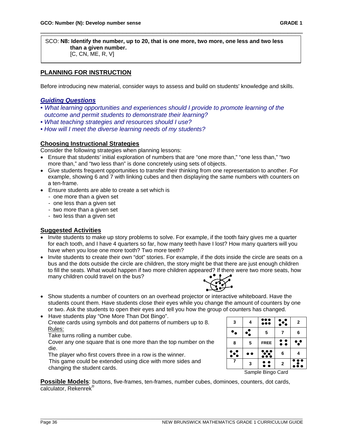SCO: **N8: Identify the number, up to 20, that is one more, two more, one less and two less than a given number.** [C, CN, ME, R, V]

\_\_\_\_\_\_\_\_\_\_\_\_\_\_\_\_\_\_\_\_\_\_\_\_\_\_\_\_\_\_\_\_\_\_\_\_\_\_\_\_\_\_\_\_\_\_\_\_\_\_\_\_\_\_\_\_\_\_\_\_\_\_\_\_\_\_\_\_\_\_

# **PLANNING FOR INSTRUCTION**

Before introducing new material, consider ways to assess and build on students' knowledge and skills.

### *Guiding Questions*

- *What learning opportunities and experiences should I provide to promote learning of the outcome and permit students to demonstrate their learning?*
- *What teaching strategies and resources should I use?*
- *How will I meet the diverse learning needs of my students?*

### **Choosing Instructional Strategies**

Consider the following strategies when planning lessons:

- Ensure that students' initial exploration of numbers that are "one more than," "one less than," "two more than," and "two less than" is done concretely using sets of objects.
- Give students frequent opportunities to transfer their thinking from one representation to another. For example, showing 6 and 7 with linking cubes and then displaying the same numbers with counters on a ten-frame.
- Ensure students are able to create a set which is
	- one more than a given set
	- one less than a given set
	- two more than a given set
	- two less than a given set

## **Suggested Activities**

- Invite students to make up story problems to solve. For example, if the tooth fairy gives me a quarter for each tooth, and I have 4 quarters so far, how many teeth have I lost? How many quarters will you have when you lose one more tooth? Two more teeth?
- Invite students to create their own "dot" stories. For example, if the dots inside the circle are seats on a bus and the dots outside the circle are children, the story might be that there are just enough children to fill the seats. What would happen if two more children appeared? If there were two more seats, how many children could travel on the bus?



• Show students a number of counters on an overhead projector or interactive whiteboard. Have the students count them. Have students close their eyes while you change the amount of counters by one or two. Ask the students to open their eyes and tell you how the group of counters has changed.

• Have students play "One More Than Dot Bingo". Create cards using symbols and dot patterns of numbers up to 8. Rules:

Take turns rolling a number cube.

Cover any one square that is one more than the top number on the die.

 The player who first covers three in a row is the winner. This game could be extended using dice with more sides and

changing the student cards.



Sample Bingo Card

**Possible Models**: buttons, five-frames, ten-frames, number cubes, dominoes, counters, dot cards, calculator, Rekenrek®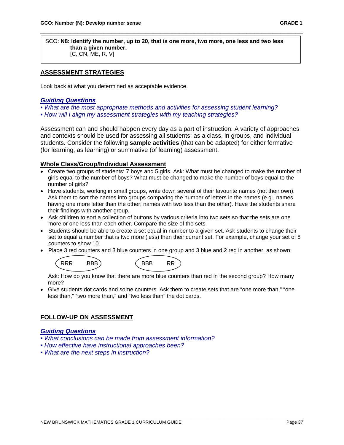SCO: **N8: Identify the number, up to 20, that is one more, two more, one less and two less than a given number.** [C, CN, ME, R, V]

\_\_\_\_\_\_\_\_\_\_\_\_\_\_\_\_\_\_\_\_\_\_\_\_\_\_\_\_\_\_\_\_\_\_\_\_\_\_\_\_\_\_\_\_\_\_\_\_\_\_\_\_\_\_\_\_\_\_\_\_\_\_\_\_\_\_\_\_\_\_

# **ASSESSMENT STRATEGIES**

Look back at what you determined as acceptable evidence.

### *Guiding Questions*

- *What are the most appropriate methods and activities for assessing student learning?*
- *How will I align my assessment strategies with my teaching strategies?*

Assessment can and should happen every day as a part of instruction. A variety of approaches and contexts should be used for assessing all students: as a class, in groups, and individual students. Consider the following **sample activities** (that can be adapted) for either formative (for learning; as learning) or summative (of learning) assessment.

### **Whole Class/Group/Individual Assessment**

- Create two groups of students: 7 boys and 5 girls. Ask: What must be changed to make the number of girls equal to the number of boys? What must be changed to make the number of boys equal to the number of girls?
- Have students, working in small groups, write down several of their favourite names (not their own). Ask them to sort the names into groups comparing the number of letters in the names (e.g., names having one more letter than the other; names with two less than the other). Have the students share their findings with another group.
- Ask children to sort a collection of buttons by various criteria into two sets so that the sets are one more or one less than each other. Compare the size of the sets.
- Students should be able to create a set equal in number to a given set. Ask students to change their set to equal a number that is two more (less) than their current set. For example, change your set of 8 counters to show 10.
- Place 3 red counters and 3 blue counters in one group and 3 blue and 2 red in another, as shown:

| RRR | RRR | <b>RRR</b> |  |
|-----|-----|------------|--|
|     |     |            |  |
|     |     |            |  |

 Ask: How do you know that there are more blue counters than red in the second group? How many more?

• Give students dot cards and some counters. Ask them to create sets that are "one more than," "one less than," "two more than," and "two less than" the dot cards.

## **FOLLOW-UP ON ASSESSMENT**

### *Guiding Questions*

- *What conclusions can be made from assessment information?*
- *How effective have instructional approaches been?*
- *What are the next steps in instruction?*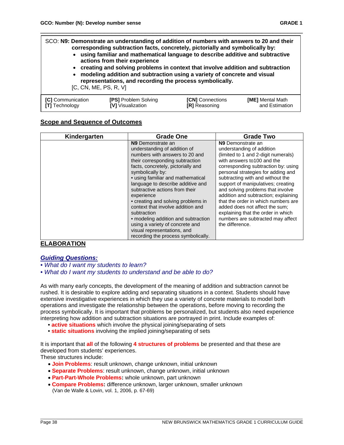SCO: **N9: Demonstrate an understanding of addition of numbers with answers to 20 and their corresponding subtraction facts, concretely, pictorially and symbolically by:** • **using familiar and mathematical language to describe additive and subtractive**

\_\_\_\_\_\_\_\_\_\_\_\_\_\_\_\_\_\_\_\_\_\_\_\_\_\_\_\_\_\_\_\_\_\_\_\_\_\_\_\_\_\_\_\_\_\_\_\_\_\_\_\_\_\_\_\_\_\_\_\_\_\_\_\_\_\_\_\_\_\_

- **actions from their experience**
- **creating and solving problems in context that involve addition and subtraction**
- **modeling addition and subtraction using a variety of concrete and visual representations, and recording the process symbolically.**
- [C, CN, ME, PS, R, V]

| <b>[PS] Problem Solving</b><br><b>[C]</b> Communication<br><b>IVI</b> Visualization<br><b>[T]</b> Technology | <b>[CN]</b> Connections<br><b>[R]</b> Reasoning | <b>[ME]</b> Mental Math<br>and Estimation |
|--------------------------------------------------------------------------------------------------------------|-------------------------------------------------|-------------------------------------------|
|--------------------------------------------------------------------------------------------------------------|-------------------------------------------------|-------------------------------------------|

### **Scope and Sequence of Outcomes**

| Kindergarten | <b>Grade One</b>                                                                                                                                                                                                                                                                                                                                                                                                                                                                                                                                                 | <b>Grade Two</b>                                                                                                                                                                                                                                                                                                                                                                                                                                                                                                                            |
|--------------|------------------------------------------------------------------------------------------------------------------------------------------------------------------------------------------------------------------------------------------------------------------------------------------------------------------------------------------------------------------------------------------------------------------------------------------------------------------------------------------------------------------------------------------------------------------|---------------------------------------------------------------------------------------------------------------------------------------------------------------------------------------------------------------------------------------------------------------------------------------------------------------------------------------------------------------------------------------------------------------------------------------------------------------------------------------------------------------------------------------------|
|              | N <sub>9</sub> Demonstrate an<br>understanding of addition of<br>numbers with answers to 20 and<br>their corresponding subtraction<br>facts, concretely, pictorially and<br>symbolically by:<br>• using familiar and mathematical<br>language to describe additive and<br>subtractive actions from their<br>experience<br>• creating and solving problems in<br>context that involve addition and<br>subtraction<br>• modeling addition and subtraction<br>using a variety of concrete and<br>visual representations, and<br>recording the process symbolically. | N <sub>9</sub> Demonstrate an<br>understanding of addition<br>(limited to 1 and 2-digit numerals)<br>with answers to 100 and the<br>corresponding subtraction by: using<br>personal strategies for adding and<br>subtracting with and without the<br>support of manipulatives; creating<br>and solving problems that involve<br>addition and subtraction; explaining<br>that the order in which numbers are<br>added does not affect the sum;<br>explaining that the order in which<br>numbers are subtracted may affect<br>the difference. |

## **ELABORATION**

# *Guiding Questions:*

*• What do I want my students to learn?* 

*• What do I want my students to understand and be able to do?*

As with many early concepts, the development of the meaning of addition and subtraction cannot be rushed. It is desirable to explore adding and separating situations in a context. Students should have extensive investigative experiences in which they use a variety of concrete materials to model both operations and investigate the relationship between the operations, before moving to recording the process symbolically. It is important that problems be personalized, but students also need experience interpreting how addition and subtraction situations are portrayed in print. Include examples of:

- **active situations** which involve the physical joining/separating of sets
- **static situations** involving the implied joining/separating of sets

It is important that **all** of the following **4 structures of problems** be presented and that these are developed from students' experiences.

These structures include:

- **Join Problems**: result unknown, change unknown, initial unknown
- **Separate Problems**: result unknown, change unknown, initial unknown
- **Part-Part-Whole Problems:** whole unknown, part unknown
- **Compare Problems:** difference unknown, larger unknown, smaller unknown (Van de Walle & Lovin, vol. 1, 2006, p. 67-69)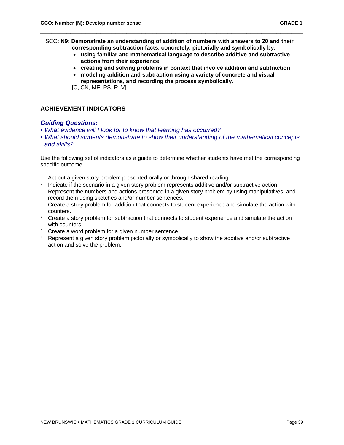SCO: **N9: Demonstrate an understanding of addition of numbers with answers to 20 and their corresponding subtraction facts, concretely, pictorially and symbolically by:**

\_\_\_\_\_\_\_\_\_\_\_\_\_\_\_\_\_\_\_\_\_\_\_\_\_\_\_\_\_\_\_\_\_\_\_\_\_\_\_\_\_\_\_\_\_\_\_\_\_\_\_\_\_\_\_\_\_\_\_\_\_\_\_\_\_\_\_\_\_\_

- **using familiar and mathematical language to describe additive and subtractive actions from their experience**
- **creating and solving problems in context that involve addition and subtraction**
- **modeling addition and subtraction using a variety of concrete and visual representations, and recording the process symbolically.**
- [C, CN, ME, PS, R, V]

## **ACHIEVEMENT INDICATORS**

#### *Guiding Questions:*

- *What evidence will I look for to know that learning has occurred?*
- *What should students demonstrate to show their understanding of the mathematical concepts and skills?*

Use the following set of indicators as a guide to determine whether students have met the corresponding specific outcome.

- ° Act out a given story problem presented orally or through shared reading.
- ° Indicate if the scenario in a given story problem represents additive and/or subtractive action.
- ° Represent the numbers and actions presented in a given story problem by using manipulatives, and record them using sketches and/or number sentences.
- ° Create a story problem for addition that connects to student experience and simulate the action with counters.
- ° Create a story problem for subtraction that connects to student experience and simulate the action with counters.
- ° Create a word problem for a given number sentence.
- ° Represent a given story problem pictorially or symbolically to show the additive and/or subtractive action and solve the problem.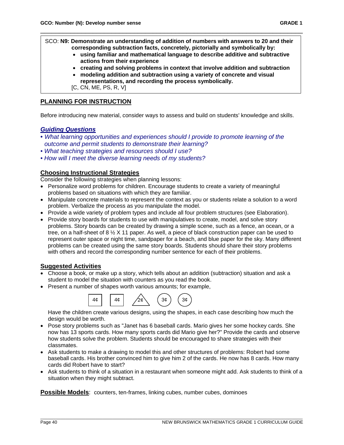SCO: **N9: Demonstrate an understanding of addition of numbers with answers to 20 and their corresponding subtraction facts, concretely, pictorially and symbolically by:**

\_\_\_\_\_\_\_\_\_\_\_\_\_\_\_\_\_\_\_\_\_\_\_\_\_\_\_\_\_\_\_\_\_\_\_\_\_\_\_\_\_\_\_\_\_\_\_\_\_\_\_\_\_\_\_\_\_\_\_\_\_\_\_\_\_\_\_\_\_\_

- **using familiar and mathematical language to describe additive and subtractive actions from their experience**
- **creating and solving problems in context that involve addition and subtraction**
- **modeling addition and subtraction using a variety of concrete and visual representations, and recording the process symbolically.**
- [C, CN, ME, PS, R, V]

# **PLANNING FOR INSTRUCTION**

Before introducing new material, consider ways to assess and build on students' knowledge and skills.

### *Guiding Questions*

- *What learning opportunities and experiences should I provide to promote learning of the outcome and permit students to demonstrate their learning?*
- *What teaching strategies and resources should I use?*
- *How will I meet the diverse learning needs of my students?*

### **Choosing Instructional Strategies**

Consider the following strategies when planning lessons:

- Personalize word problems for children. Encourage students to create a variety of meaningful problems based on situations with which they are familiar.
- Manipulate concrete materials to represent the context as you or students relate a solution to a word problem. Verbalize the process as you manipulate the model.
- Provide a wide variety of problem types and include all four problem structures (see Elaboration).
- Provide story boards for students to use with manipulatives to create, model, and solve story problems. Story boards can be created by drawing a simple scene, such as a fence, an ocean, or a tree, on a half-sheet of 8 ½ X 11 paper. As well, a piece of black construction paper can be used to represent outer space or night time, sandpaper for a beach, and blue paper for the sky. Many different problems can be created using the same story boards. Students should share their story problems with others and record the corresponding number sentence for each of their problems.

### **Suggested Activities**

- Choose a book, or make up a story, which tells about an addition (subtraction) situation and ask a student to model the situation with counters as you read the book.
- Present a number of shapes worth various amounts; for example,



Have the children create various designs, using the shapes, in each case describing how much the design would be worth.

- Pose story problems such as "Janet has 6 baseball cards. Mario gives her some hockey cards. She now has 13 sports cards. How many sports cards did Mario give her?" Provide the cards and observe how students solve the problem. Students should be encouraged to share strategies with their classmates.
- Ask students to make a drawing to model this and other structures of problems: Robert had some baseball cards. His brother convinced him to give him 2 of the cards. He now has 8 cards. How many cards did Robert have to start?
- Ask students to think of a situation in a restaurant when someone might add. Ask students to think of a situation when they might subtract.

**Possible Models**: counters, ten-frames, linking cubes, number cubes, dominoes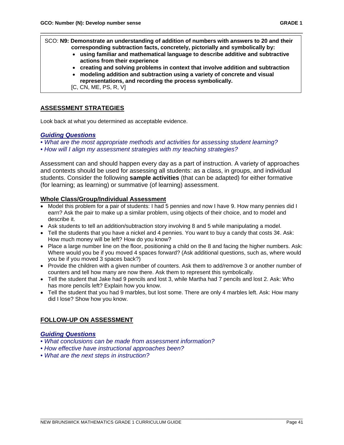SCO: **N9: Demonstrate an understanding of addition of numbers with answers to 20 and their corresponding subtraction facts, concretely, pictorially and symbolically by:**

\_\_\_\_\_\_\_\_\_\_\_\_\_\_\_\_\_\_\_\_\_\_\_\_\_\_\_\_\_\_\_\_\_\_\_\_\_\_\_\_\_\_\_\_\_\_\_\_\_\_\_\_\_\_\_\_\_\_\_\_\_\_\_\_\_\_\_\_\_\_

- **using familiar and mathematical language to describe additive and subtractive actions from their experience**
- **creating and solving problems in context that involve addition and subtraction**
- **modeling addition and subtraction using a variety of concrete and visual representations, and recording the process symbolically.**
- [C, CN, ME, PS, R, V]

# **ASSESSMENT STRATEGIES**

Look back at what you determined as acceptable evidence.

### *Guiding Questions*

• What are the most appropriate methods and activities for assessing student *learning?* 

*• How will I align my assessment strategies with my teaching strategies?*

Assessment can and should happen every day as a part of instruction. A variety of approaches and contexts should be used for assessing all students: as a class, in groups, and individual students. Consider the following **sample activities** (that can be adapted) for either formative (for learning; as learning) or summative (of learning) assessment.

### **Whole Class/Group/Individual Assessment**

- Model this problem for a pair of students: I had 5 pennies and now I have 9. How many pennies did I earn? Ask the pair to make up a similar problem, using objects of their choice, and to model and describe it.
- Ask students to tell an addition/subtraction story involving 8 and 5 while manipulating a model.
- Tell the students that you have a nickel and 4 pennies. You want to buy a candy that costs 3¢. Ask: How much money will be left? How do you know?
- Place a large number line on the floor, positioning a child on the 8 and facing the higher numbers. Ask: Where would you be if you moved 4 spaces forward? (Ask additional questions, such as, where would you be if you moved 3 spaces back?)
- Provide the children with a given number of counters. Ask them to add/remove 3 or another number of counters and tell how many are now there. Ask them to represent this symbolically.
- Tell the student that Jake had 9 pencils and lost 3, while Martha had 7 pencils and lost 2. Ask: Who has more pencils left? Explain how you know.
- Tell the student that you had 9 marbles, but lost some. There are only 4 marbles left. Ask: How many did I lose? Show how you know.

## **FOLLOW-UP ON ASSESSMENT**

### *Guiding Questions*

- *What conclusions can be made from assessment information?*
- *How effective have instructional approaches been?*
- *What are the next steps in instruction?*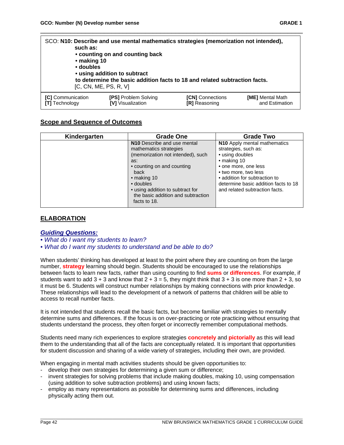| such as:<br>• making 10<br>• doubles | SCO: N10: Describe and use mental mathematics strategies (memorization not intended),<br>• counting on and counting back<br>• using addition to subtract<br>to determine the basic addition facts to 18 and related subtraction facts.<br>[C, CN, ME, PS, R, V] |                         |                         |
|--------------------------------------|-----------------------------------------------------------------------------------------------------------------------------------------------------------------------------------------------------------------------------------------------------------------|-------------------------|-------------------------|
| <b>[C]</b> Communication             | [PS] Problem Solving                                                                                                                                                                                                                                            | <b>[CN]</b> Connections | <b>[ME]</b> Mental Math |
| <b>[T]</b> Technology                | <b>IVI</b> Visualization                                                                                                                                                                                                                                        | <b>[R]</b> Reasoning    | and Estimation          |

### **Scope and Sequence of Outcomes**

| Kindergarten | <b>Grade One</b>                                                                                                                                                                                                                                                      | <b>Grade Two</b>                                                                                                                                                                                                                                          |
|--------------|-----------------------------------------------------------------------------------------------------------------------------------------------------------------------------------------------------------------------------------------------------------------------|-----------------------------------------------------------------------------------------------------------------------------------------------------------------------------------------------------------------------------------------------------------|
|              | N10 Describe and use mental<br>mathematics strategies<br>(memorization not intended), such<br>as:<br>• counting on and counting<br>back<br>$\bullet$ making 10<br>• doubles<br>• using addition to subtract for<br>the basic addition and subtraction<br>facts to 18. | N10 Apply mental mathematics<br>strategies, such as:<br>• using doubles<br>$\bullet$ making 10<br>• one more, one less<br>• two more, two less<br>• addition for subtraction to<br>determine basic addition facts to 18<br>and related subtraction facts. |

### **ELABORATION**

#### *Guiding Questions:*

- *What do I want my students to learn?*
- *What do I want my students to understand and be able to do?*

When students' thinking has developed at least to the point where they are counting on from the large number, **strategy** learning should begin. Students should be encouraged to use the relationships between facts to learn new facts, rather than using counting to find **sums** or **differences**. For example, if students want to add  $3 + 3$  and know that  $2 + 3 = 5$ , they might think that  $3 + 3$  is one more than  $2 + 3$ , so it must be 6. Students will construct number relationships by making connections with prior knowledge. These relationships will lead to the development of a network of patterns that children will be able to access to recall number facts.

It is not intended that students recall the basic facts, but become familiar with strategies to mentally determine sums and differences. If the focus is on over-practicing or rote practicing without ensuring that students understand the process, they often forget or incorrectly remember computational methods.

Students need many rich experiences to explore strategies **concretely** and **pictorially** as this will lead them to the understanding that all of the facts are conceptually related. It is important that opportunities for student discussion and sharing of a wide variety of strategies, including their own, are provided.

When engaging in mental math activities students should be given opportunities to:

- develop their own strategies for determining a given sum or difference;
- invent strategies for solving problems that include making doubles, making 10, using compensation (using addition to solve subtraction problems) and using known facts;
- employ as many representations as possible for determining sums and differences, including physically acting them out.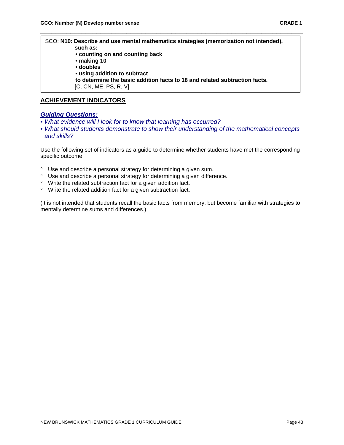SCO: **N10: Describe and use mental mathematics strategies (memorization not intended), such as: • counting on and counting back • making 10 • doubles • using addition to subtract to determine the basic addition facts to 18 and related subtraction facts.** [C, CN, ME, PS, R, V]

\_\_\_\_\_\_\_\_\_\_\_\_\_\_\_\_\_\_\_\_\_\_\_\_\_\_\_\_\_\_\_\_\_\_\_\_\_\_\_\_\_\_\_\_\_\_\_\_\_\_\_\_\_\_\_\_\_\_\_\_\_\_\_\_\_\_\_\_\_\_

**ACHIEVEMENT INDICATORS**

### *Guiding Questions:*

 $\mathsf{l}$ 

- *What evidence will I look for to know that learning has occurred?*
- *What should students demonstrate to show their understanding of the mathematical concepts and skills?*

Use the following set of indicators as a guide to determine whether students have met the corresponding specific outcome.

- ° Use and describe a personal strategy for determining a given sum.
- ° Use and describe a personal strategy for determining a given difference.
- ° Write the related subtraction fact for a given addition fact.
- ° Write the related addition fact for a given subtraction fact.

(It is not intended that students recall the basic facts from memory, but become familiar with strategies to mentally determine sums and differences.)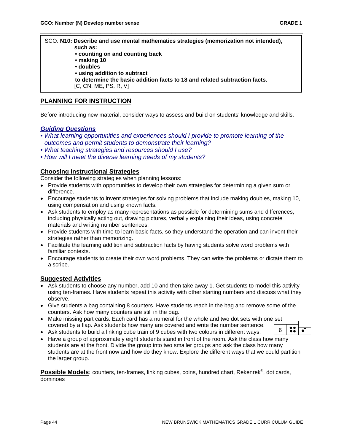### SCO: **N10: Describe and use mental mathematics strategies (memorization not intended), such as: • counting on and counting back • making 10 • doubles • using addition to subtract**

\_\_\_\_\_\_\_\_\_\_\_\_\_\_\_\_\_\_\_\_\_\_\_\_\_\_\_\_\_\_\_\_\_\_\_\_\_\_\_\_\_\_\_\_\_\_\_\_\_\_\_\_\_\_\_\_\_\_\_\_\_\_\_\_\_\_\_\_\_\_

**to determine the basic addition facts to 18 and related subtraction facts.**

[C, CN, ME, PS, R, V]

### **PLANNING FOR INSTRUCTION**

Before introducing new material, consider ways to assess and build on students' knowledge and skills.

#### *Guiding Questions*

- *What learning opportunities and experiences should I provide to promote learning of the outcomes and permit students to demonstrate their learning?*
- *What teaching strategies and resources should I use?*
- *How will I meet the diverse learning needs of my students?*

### **Choosing Instructional Strategies**

Consider the following strategies when planning lessons:

- Provide students with opportunities to develop their own strategies for determining a given sum or difference.
- Encourage students to invent strategies for solving problems that include making doubles, making 10, using compensation and using known facts.
- Ask students to employ as many representations as possible for determining sums and differences, including physically acting out, drawing pictures, verbally explaining their ideas, using concrete materials and writing number sentences.
- Provide students with time to learn basic facts, so they understand the operation and can invent their strategies rather than memorizing.
- Facilitate the learning addition and subtraction facts by having students solve word problems with familiar contexts.
- Encourage students to create their own word problems. They can write the problems or dictate them to a scribe.

#### **Suggested Activities**

- Ask students to choose any number, add 10 and then take away 1. Get students to model this activity using ten-frames. Have students repeat this activity with other starting numbers and discuss what they observe.
- Give students a bag containing 8 counters. Have students reach in the bag and remove some of the counters. Ask how many counters are still in the bag.
- Make missing part cards: Each card has a numeral for the whole and two dot sets with one set covered by a flap. Ask students how many are covered and write the number sentence.
- Ask students to build a linking cube train of 9 cubes with two colours in different ways.
- 6
- Have a group of approximately eight students stand in front of the room. Ask the class how many students are at the front. Divide the group into two smaller groups and ask the class how many students are at the front now and how do they know. Explore the different ways that we could partition the larger group.

**Possible Models**: counters, ten-frames, linking cubes, coins, hundred chart, Rekenrek® , dot cards, dominoes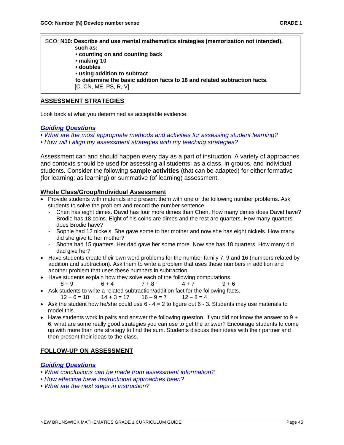SCO: **N10: Describe and use mental mathematics strategies (memorization not intended), such as: • counting on and counting back • making 10 • doubles • using addition to subtract to determine the basic addition facts to 18 and related subtraction facts.** [C, CN, ME, PS, R, V]

\_\_\_\_\_\_\_\_\_\_\_\_\_\_\_\_\_\_\_\_\_\_\_\_\_\_\_\_\_\_\_\_\_\_\_\_\_\_\_\_\_\_\_\_\_\_\_\_\_\_\_\_\_\_\_\_\_\_\_\_\_\_\_\_\_\_\_\_\_\_

### **ASSESSMENT STRATEGIES**

Look back at what you determined as acceptable evidence.

#### *Guiding Questions*

- *What are the most appropriate methods and activities for assessing student learning?*
- *How will I align my assessment strategies with my teaching strategies?*

Assessment can and should happen every day as a part of instruction. A variety of approaches and contexts should be used for assessing all students: as a class, in groups, and individual students. Consider the following **sample activities** (that can be adapted) for either formative (for learning; as learning) or summative (of learning) assessment.

### **Whole Class/Group/Individual Assessment**

- Provide students with materials and present them with one of the following number problems. Ask students to solve the problem and record the number sentence.
	- Chen has eight dimes. David has four more dimes than Chen. How many dimes does David have?
	- Brodie has 18 coins. Eight of his coins are dimes and the rest are quarters. How many quarters does Brodie have?
	- Sophie had 12 nickels. She gave some to her mother and now she has eight nickels. How many did she give to her mother?
	- Shona had 15 quarters. Her dad gave her some more. Now she has 18 quarters. How many did dad give her?
- Have students create their own word problems for the number family 7, 9 and 16 (numbers related by addition and subtraction). Ask them to write a problem that uses these numbers in addition and another problem that uses these numbers in subtraction.
- Have students explain how they solve each of the following computations.<br> $8+9$  6 + 4 7 4 + 7 9 + 6 8 + 9 6 + 4 + 7 + 8 4 + 7 + 8 + 9 + 6
- Ask students to write a related subtraction/addition fact for the following facts.  $12 + 6 = 18$   $14 + 3 = 17$   $16 - 9 = 7$   $12 - 8 = 4$
- Ask the student how he/she could use  $6 4 = 2$  to figure out  $6 3$ . Students may use materials to model this.
- Have students work in pairs and answer the following question. If you did not know the answer to  $9 +$ 6, what are some really good strategies you can use to get the answer? Encourage students to come up with more than one strategy to find the sum. Students discuss their ideas with their partner and then present their ideas to the class.

### **FOLLOW-UP ON ASSESSMENT**

### *Guiding Questions*

- *What conclusions can be made from assessment information?*
- *How effective have instructional approaches been?*
- *What are the next steps in instruction?*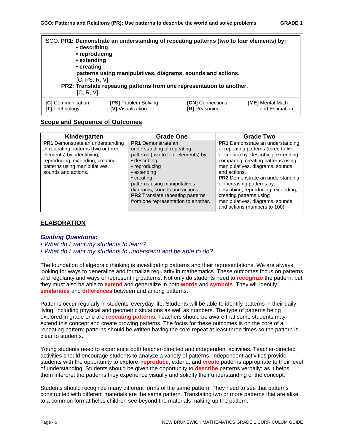| • describing<br>• reproducing<br>• extending<br>• creating<br>[C, PS, R, V]<br>[C, R, V] | SCO: PR1: Demonstrate an understanding of repeating patterns (two to four elements) by:<br>patterns using manipulatives, diagrams, sounds and actions.<br>PR2: Translate repeating patterns from one representation to another. |                         |                  |
|------------------------------------------------------------------------------------------|---------------------------------------------------------------------------------------------------------------------------------------------------------------------------------------------------------------------------------|-------------------------|------------------|
| <b>[C]</b> Communication                                                                 | <b>[PS]</b> Problem Solving                                                                                                                                                                                                     | <b>[CN]</b> Connections | [ME] Mental Math |
| <b>ITI</b> Technology                                                                    | [V] Visualization                                                                                                                                                                                                               | <b>[R]</b> Reasoning    | and Estimation   |

### **Scope and Sequence of Outcomes**

| Kindergarten                                                                                                                                                                                             | Grade One                                                                                                                                                                                                                                                                 | <b>Grade Two</b>                                                                                                                                                                                                                                                                                                                                     |
|----------------------------------------------------------------------------------------------------------------------------------------------------------------------------------------------------------|---------------------------------------------------------------------------------------------------------------------------------------------------------------------------------------------------------------------------------------------------------------------------|------------------------------------------------------------------------------------------------------------------------------------------------------------------------------------------------------------------------------------------------------------------------------------------------------------------------------------------------------|
| <b>PR1</b> Demonstrate an understanding<br>of repeating patterns (two or three<br>elements) by: identifying;<br>reproducing; extending; creating<br>patterns using manipulatives,<br>sounds and actions. | <b>PR1</b> Demonstrate an<br>understanding of repeating<br>patterns (two to four elements) by:<br>• describing<br>• reproducing<br>• extending<br>• creating<br>patterns using manipulatives,<br>diagrams, sounds and actions.<br><b>PR2</b> Translate repeating patterns | PR1 Demonstrate an understanding<br>of repeating patterns (three to five<br>elements) by: describing; extending;<br>comparing; creating patterns using<br>manipulatives, diagrams, sounds<br>and actions.<br><b>PR2</b> Demonstrate an understanding<br>of increasing patterns by:<br>describing; reproducing; extending;<br>creating patterns using |
|                                                                                                                                                                                                          | from one representation to another.                                                                                                                                                                                                                                       | manipulatives, diagrams, sounds<br>and actions (numbers to 100).                                                                                                                                                                                                                                                                                     |

### **ELABORATION**

#### *Guiding Questions:*

- *What do I want my students to learn?*
- *What do I want my students to understand and be able to do?*

The foundation of algebraic thinking is investigating patterns and their representations. We are always looking for ways to generalize and formalize regularity in mathematics. These outcomes focus on patterns and regularity and ways of representing patterns. Not only do students need to **recognize** the pattern, but they must also be able to **extend** and generalize in both **words** and **symbols**. They will identify **similarities** and **differences** between and among patterns.

Patterns occur regularly in students' everyday life. Students will be able to identify patterns in their daily living, including physical and geometric situations as well as numbers. The type of patterns being explored in grade one are **repeating patterns**. Teachers should be aware that some students may extend this concept and create growing patterns. The focus for these outcomes is on the core of a repeating pattern; patterns should be written having the core repeat at least three times so the pattern is clear to students.

Young students need to experience both teacher-directed and independent activities. Teacher-directed activities should encourage students to analyze a variety of patterns. Independent activities provide students with the opportunity to explore, **reproduce**, extend, and **create** patterns appropriate to their level of understanding. Students should be given the opportunity to **describe** patterns verbally; as it helps them interpret the patterns they experience visually and solidify their understanding of the concept.

Students should recognize many different forms of the same pattern. They need to see that patterns constructed with different materials are the same pattern. Translating two or more patterns that are alike to a common format helps children see beyond the materials making up the pattern.

\_\_\_\_\_\_\_\_\_\_\_\_\_\_\_\_\_\_\_\_\_\_\_\_\_\_\_\_\_\_\_\_\_\_\_\_\_\_\_\_\_\_\_\_\_\_\_\_\_\_\_\_\_\_\_\_\_\_\_\_\_\_\_\_\_\_\_\_\_\_\_\_\_\_\_\_\_\_\_\_\_\_\_\_\_\_\_\_\_\_\_\_\_\_\_\_\_\_\_\_\_\_\_\_\_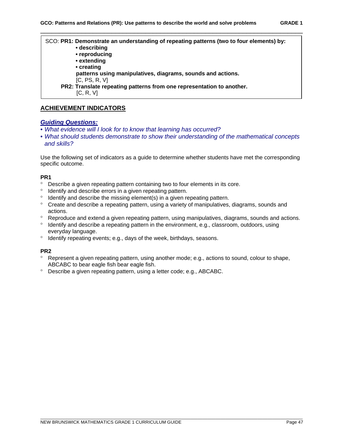SCO: **PR1: Demonstrate an understanding of repeating patterns (two to four elements) by:**

\_\_\_\_\_\_\_\_\_\_\_\_\_\_\_\_\_\_\_\_\_\_\_\_\_\_\_\_\_\_\_\_\_\_\_\_\_\_\_\_\_\_\_\_\_\_\_\_\_\_\_\_\_\_\_\_\_\_\_\_\_\_\_\_\_\_\_\_\_\_

- **describing**
- **reproducing**
- **extending**
- **creating**

 **patterns using manipulatives, diagrams, sounds and actions.** 

- [C, PS, R, V]
- **PR2: Translate repeating patterns from one representation to another.** [C, R, V]

### **ACHIEVEMENT INDICATORS**

### *Guiding Questions:*

- *What evidence will I look for to know that learning has occurred?*
- *What should students demonstrate to show their understanding of the mathematical concepts and skills?*

Use the following set of indicators as a guide to determine whether students have met the corresponding specific outcome.

#### **PR1**

- ° Describe a given repeating pattern containing two to four elements in its core.
- ° Identify and describe errors in a given repeating pattern.
- ° Identify and describe the missing element(s) in a given repeating pattern.
- ° Create and describe a repeating pattern, using a variety of manipulatives, diagrams, sounds and actions.
- ° Reproduce and extend a given repeating pattern, using manipulatives, diagrams, sounds and actions.
- ° Identify and describe a repeating pattern in the environment, e.g., classroom, outdoors, using everyday language.
- ° Identify repeating events; e.g., days of the week, birthdays, seasons.

#### **PR2**

- ° Represent a given repeating pattern, using another mode; e.g., actions to sound, colour to shape, ABCABC to bear eagle fish bear eagle fish.
- ° Describe a given repeating pattern, using a letter code; e.g., ABCABC.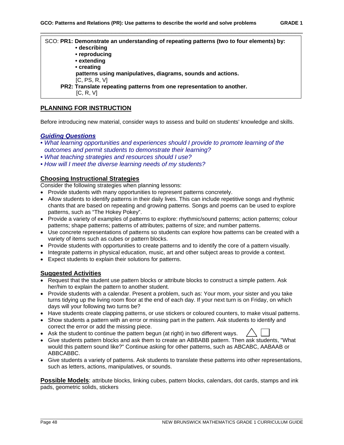SCO: **PR1: Demonstrate an understanding of repeating patterns (two to four elements) by: • describing • reproducing • extending • creating patterns using manipulatives, diagrams, sounds and actions.** [C, PS, R, V]  **PR2: Translate repeating patterns from one representation to another.** [C, R, V]

\_\_\_\_\_\_\_\_\_\_\_\_\_\_\_\_\_\_\_\_\_\_\_\_\_\_\_\_\_\_\_\_\_\_\_\_\_\_\_\_\_\_\_\_\_\_\_\_\_\_\_\_\_\_\_\_\_\_\_\_\_\_\_\_\_\_\_\_\_\_

## **PLANNING FOR INSTRUCTION**

Before introducing new material, consider ways to assess and build on students' knowledge and skills.

### *Guiding Questions*

- *What learning opportunities and experiences should I provide to promote learning of the outcomes and permit students to demonstrate their learning?*
- *What teaching strategies and resources should I use?*
- *How will I meet the diverse learning needs of my students?*

### **Choosing Instructional Strategies**

Consider the following strategies when planning lessons:

- Provide students with many opportunities to represent patterns concretely.
- Allow students to identify patterns in their daily lives. This can include repetitive songs and rhythmic chants that are based on repeating and growing patterns. Songs and poems can be used to explore patterns, such as "The Hokey Pokey".
- Provide a variety of examples of patterns to explore: rhythmic/sound patterns; action patterns; colour patterns; shape patterns; patterns of attributes; patterns of size; and number patterns.
- Use concrete representations of patterns so students can explore how patterns can be created with a variety of items such as cubes or pattern blocks.
- Provide students with opportunities to create patterns and to identify the core of a pattern visually.
- Integrate patterns in physical education, music, art and other subject areas to provide a context.
- Expect students to explain their solutions for patterns.

### **Suggested Activities**

- Request that the student use pattern blocks or attribute blocks to construct a simple pattern. Ask her/him to explain the pattern to another student.
- Provide students with a calendar. Present a problem, such as: Your mom, your sister and you take turns tidying up the living room floor at the end of each day. If your next turn is on Friday, on which days will your following two turns be?
- Have students create clapping patterns, or use stickers or coloured counters, to make visual patterns.
- Show students a pattern with an error or missing part in the pattern. Ask students to identify and correct the error or add the missing piece.
- Ask the student to continue the pattern begun (at right) in two different ways.
- Give students pattern blocks and ask them to create an ABBABB pattern. Then ask students, "What would this pattern sound like?" Continue asking for other patterns, such as ABCABC, AABAAB or ABBCABBC.
- Give students a variety of patterns. Ask students to translate these patterns into other representations, such as letters, actions, manipulatives, or sounds.

**Possible Models**: attribute blocks, linking cubes, pattern blocks, calendars, dot cards, stamps and ink pads, geometric solids, stickers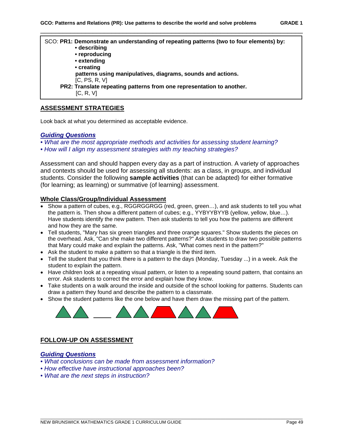SCO: **PR1: Demonstrate an understanding of repeating patterns (two to four elements) by: • describing • reproducing • extending • creating patterns using manipulatives, diagrams, sounds and actions.** [C, PS, R, V]  **PR2: Translate repeating patterns from one representation to another.** [C, R, V]

\_\_\_\_\_\_\_\_\_\_\_\_\_\_\_\_\_\_\_\_\_\_\_\_\_\_\_\_\_\_\_\_\_\_\_\_\_\_\_\_\_\_\_\_\_\_\_\_\_\_\_\_\_\_\_\_\_\_\_\_\_\_\_\_\_\_\_\_\_\_

# **ASSESSMENT STRATEGIES**

Look back at what you determined as acceptable evidence.

#### *Guiding Questions*

*• What are the most appropriate methods and activities for assessing student learning?* 

*• How will I align my assessment strategies with my teaching strategies?*

Assessment can and should happen every day as a part of instruction. A variety of approaches and contexts should be used for assessing all students: as a class, in groups, and individual students. Consider the following **sample activities** (that can be adapted) for either formative (for learning; as learning) or summative (of learning) assessment.

### **Whole Class/Group/Individual Assessment**

- Show a pattern of cubes, e.g., RGGRGGRGG (red, green, green...), and ask students to tell you what the pattern is. Then show a different pattern of cubes; e.g., YYBYYBYYB (yellow, yellow, blue…). Have students identify the new pattern. Then ask students to tell you how the patterns are different and how they are the same.
- Tell students, "Mary has six green triangles and three orange squares." Show students the pieces on the overhead. Ask, "Can she make two different patterns?" Ask students to draw two possible patterns that Mary could make and explain the patterns. Ask, "What comes next in the pattern?"
- Ask the student to make a pattern so that a triangle is the third item.
- Tell the student that you think there is a pattern to the days (Monday, Tuesday ...) in a week. Ask the student to explain the pattern.
- Have children look at a repeating visual pattern, or listen to a repeating sound pattern, that contains an error. Ask students to correct the error and explain how they know.
- Take students on a walk around the inside and outside of the school looking for patterns. Students can draw a pattern they found and describe the pattern to a classmate.

\_\_\_\_\_\_\_\_\_\_\_\_\_\_\_\_\_\_\_\_\_\_\_\_\_\_\_\_\_\_\_\_\_\_\_\_\_\_\_\_\_\_\_\_\_\_\_\_\_\_\_\_\_\_\_\_\_\_\_\_\_\_\_\_\_\_\_\_\_\_\_\_\_\_\_\_\_\_\_\_\_\_\_\_\_\_\_\_\_\_\_\_\_\_\_\_\_\_\_\_\_\_\_\_\_

• Show the student patterns like the one below and have them draw the missing part of the pattern.



### **FOLLOW-UP ON ASSESSMENT**

### *Guiding Questions*

- *What conclusions can be made from assessment information?*
- *How effective have instructional approaches been?*
- *What are the next steps in instruction?*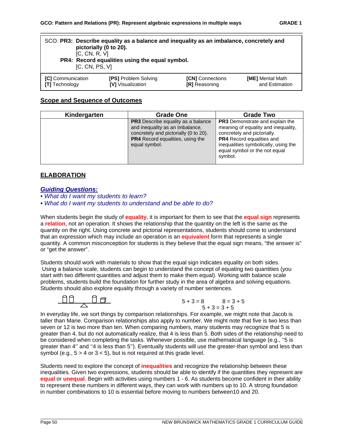| [C, CN, R, V]<br>IC, CN, PS, VI | SCO: PR3: Describe equality as a balance and inequality as an imbalance, concretely and<br>pictorially (0 to 20).<br>PR4: Record equalities using the equal symbol. |                         |                         |
|---------------------------------|---------------------------------------------------------------------------------------------------------------------------------------------------------------------|-------------------------|-------------------------|
| [C] Communication               | <b>[PS] Problem Solving</b>                                                                                                                                         | <b>[CN]</b> Connections | <b>[ME]</b> Mental Math |
| [T] Technology                  | <b>IVI</b> Visualization                                                                                                                                            | <b>IRI</b> Reasoning    | and Estimation          |

# **Scope and Sequence of Outcomes**

| Kindergarten | <b>Grade One</b>                                                                                                                                                                  | <b>Grade Two</b>                                                                                                                                                                                                                     |
|--------------|-----------------------------------------------------------------------------------------------------------------------------------------------------------------------------------|--------------------------------------------------------------------------------------------------------------------------------------------------------------------------------------------------------------------------------------|
|              | <b>PR3</b> Describe equality as a balance<br>and inequality as an imbalance,<br>concretely and pictorially (0 to 20).<br><b>PR4</b> Record equalities, using the<br>equal symbol. | <b>PR3</b> Demonstrate and explain the<br>meaning of equality and inequality,<br>concretely and pictorially.<br><b>PR4</b> Record equalities and<br>inequalities symbolically, using the<br>equal symbol or the not equal<br>symbol. |

## **ELABORATION**

### *Guiding Questions:*

- *What do I want my students to learn?*
- *What do I want my students to understand and be able to do?*

When students begin the study of **equality**, it is important for them to see that the **equal sign** represents a **relation**, not an operation. It shows the relationship that the quantity on the left is the same as the quantity on the right. Using concrete and pictorial representations, students should come to understand that an expression which may include an operation is an **equivalent** form that represents a single quantity. A common misconception for students is they believe that the equal sign means, "the answer is" or "get the answer".

Students should work with materials to show that the equal sign indicates equality on both sides. Using a balance scale, students can begin to understand the concept of equating two quantities (you start with two different quantities and adjust them to make them equal). Working with balance scale problems, students build the foundation for further study in the area of algebra and solving equations. Students should also explore equality through a variety of number sentences.



In everyday life, we sort things by comparison relationships. For example, we might note that Jacob is taller than Marie. Comparison relationships also apply to number. We might note that five is two less than seven or 12 is two more than ten. When comparing numbers, many students may recognize that 5 is greater than 4, but do not automatically realize, that 4 is less than 5. Both sides of the relationship need to be considered when completing the tasks. Whenever possible, use mathematical language (e.g., ''5 is greater than 4'' and ''4 is less than 5''). Eventually students will use the greater-than symbol and less than symbol (e.g.,  $5 > 4$  or  $3 < 5$ ), but is not required at this grade level.

Students need to explore the concept of **inequalities** and recognize the relationship between these inequalities. Given two expressions, students should be able to identify if the quantities they represent are **equal** or **unequal**. Begin with activities using numbers 1 - 6. As students become confident in their ability to represent these numbers in different ways, they can work with numbers up to 10. A strong foundation in number combinations to 10 is essential before moving to numbers between10 and 20.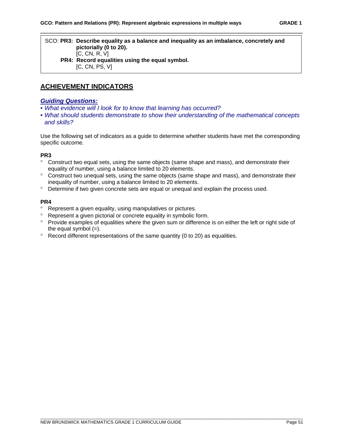#### SCO: **PR3: Describe equality as a balance and inequality as an imbalance, concretely and pictorially (0 to 20).** [C, CN, R, V]  **PR4: Record equalities using the equal symbol.** [C, CN, PS, V]

\_\_\_\_\_\_\_\_\_\_\_\_\_\_\_\_\_\_\_\_\_\_\_\_\_\_\_\_\_\_\_\_\_\_\_\_\_\_\_\_\_\_\_\_\_\_\_\_\_\_\_\_\_\_\_\_\_\_\_\_\_\_\_\_\_\_\_\_\_\_

# **ACHIEVEMENT INDICATORS**

#### *Guiding Questions:*

- *What evidence will I look for to know that learning has occurred?*
- *What should students demonstrate to show their understanding of the mathematical concepts and skills?*

Use the following set of indicators as a guide to determine whether students have met the corresponding specific outcome.

#### **PR3**

- ° Construct two equal sets, using the same objects (same shape and mass), and demonstrate their equality of number, using a balance limited to 20 elements.
- ° Construct two unequal sets, using the same objects (same shape and mass), and demonstrate their inequality of number, using a balance limited to 20 elements.
- ° Determine if two given concrete sets are equal or unequal and explain the process used.

#### **PR4**

- ° Represent a given equality, using manipulatives or pictures.
- ° Represent a given pictorial or concrete equality in symbolic form.
- ° Provide examples of equalities where the given sum or difference is on either the left or right side of the equal symbol  $(=)$ .
- ° Record different representations of the same quantity (0 to 20) as equalities.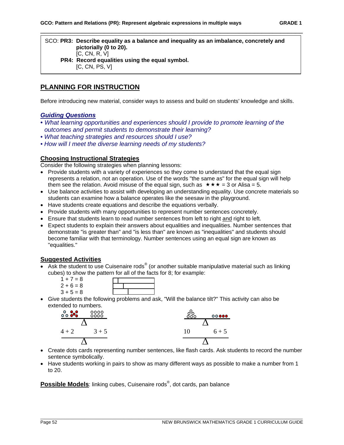SCO: **PR3: Describe equality as a balance and inequality as an imbalance, concretely and pictorially (0 to 20).** [C, CN, R, V]  **PR4: Record equalities using the equal symbol.** [C, CN, PS, V]

\_\_\_\_\_\_\_\_\_\_\_\_\_\_\_\_\_\_\_\_\_\_\_\_\_\_\_\_\_\_\_\_\_\_\_\_\_\_\_\_\_\_\_\_\_\_\_\_\_\_\_\_\_\_\_\_\_\_\_\_\_\_\_\_\_\_\_\_\_\_

# **PLANNING FOR INSTRUCTION**

Before introducing new material, consider ways to assess and build on students' knowledge and skills.

## *Guiding Questions*

- *What learning opportunities and experiences should I provide to promote learning of the outcomes and permit students to demonstrate their learning?*
- *What teaching strategies and resources should I use?*
- *How will I meet the diverse learning needs of my students?*

### **Choosing Instructional Strategies**

Consider the following strategies when planning lessons:

- Provide students with a variety of experiences so they come to understand that the equal sign represents a relation, not an operation. Use of the words "the same as" for the equal sign will help them see the relation. Avoid misuse of the equal sign, such as  $\star \star \star = 3$  or Alisa = 5.
- Use balance activities to assist with developing an understanding equality. Use concrete materials so students can examine how a balance operates like the seesaw in the playground.
- Have students create equations and describe the equations verbally.
- Provide students with many opportunities to represent number sentences concretely.
- Ensure that students learn to read number sentences from left to right and right to left.
- Expect students to explain their answers about equalities and inequalities. Number sentences that demonstrate "is greater than" and "is less than" are known as "inequalities" and students should become familiar with that terminology. Number sentences using an equal sign are known as "equalities."

## **Suggested Activities**

• Ask the student to use Cuisenaire rods<sup>®</sup> (or another suitable manipulative material such as linking cubes) to show the pattern for all of the facts for 8; for example:



• Give students the following problems and ask, "Will the balance tilt?" This activity can also be extended to numbers.



- Create dots cards representing number sentences, like flash cards. Ask students to record the number sentence symbolically.
- Have students working in pairs to show as many different ways as possible to make a number from 1 to 20.

**Possible Models**: linking cubes, Cuisenaire rods® , dot cards, pan balance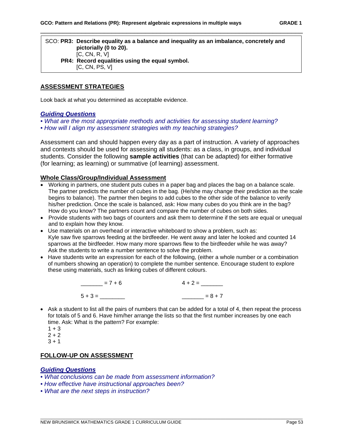#### SCO: **PR3: Describe equality as a balance and inequality as an imbalance, concretely and pictorially (0 to 20).** [C, CN, R, V]  **PR4: Record equalities using the equal symbol.** [C, CN, PS, V]

\_\_\_\_\_\_\_\_\_\_\_\_\_\_\_\_\_\_\_\_\_\_\_\_\_\_\_\_\_\_\_\_\_\_\_\_\_\_\_\_\_\_\_\_\_\_\_\_\_\_\_\_\_\_\_\_\_\_\_\_\_\_\_\_\_\_\_\_\_\_

### **ASSESSMENT STRATEGIES**

Look back at what you determined as acceptable evidence.

#### *Guiding Questions*

- *What are the most appropriate methods and activities for assessing student learning?*
- *How will I align my assessment strategies with my teaching strategies?*

Assessment can and should happen every day as a part of instruction. A variety of approaches and contexts should be used for assessing all students: as a class, in groups, and individual students. Consider the following **sample activities** (that can be adapted) for either formative (for learning; as learning) or summative (of learning) assessment.

### **Whole Class/Group/Individual Assessment**

- Working in partners, one student puts cubes in a paper bag and places the bag on a balance scale. The partner predicts the number of cubes in the bag. (He/she may change their prediction as the scale begins to balance). The partner then begins to add cubes to the other side of the balance to verify his/her prediction. Once the scale is balanced, ask: How many cubes do you think are in the bag? How do you know? The partners count and compare the number of cubes on both sides.
- Provide students with two bags of counters and ask them to determine if the sets are equal or unequal and to explain how they know.
- Use materials on an overhead or interactive whiteboard to show a problem, such as: Kyle saw five sparrows feeding at the birdfeeder. He went away and later he looked and counted 14 sparrows at the birdfeeder. How many more sparrows flew to the birdfeeder while he was away? Ask the students to write a number sentence to solve the problem.
- Have students write an expression for each of the following, (either a whole number or a combination of numbers showing an operation) to complete the number sentence. Encourage student to explore these using materials, such as linking cubes of different colours.

| $= 7 + 6$ | $4 + 2 =$ |
|-----------|-----------|
| $5 + 3 =$ | $= 8 + 7$ |

• Ask a student to list all the pairs of numbers that can be added for a total of 4, then repeat the process for totals of 5 and 6. Have him/her arrange the lists so that the first number increases by one each time. Ask: What is the pattern? For example:

\_\_\_\_\_\_\_\_\_\_\_\_\_\_\_\_\_\_\_\_\_\_\_\_\_\_\_\_\_\_\_\_\_\_\_\_\_\_\_\_\_\_\_\_\_\_\_\_\_\_\_\_\_\_\_\_\_\_\_\_\_\_\_\_\_\_\_\_\_\_\_\_\_\_\_\_\_\_\_\_\_\_\_\_\_\_\_\_\_\_\_\_\_\_\_\_\_\_\_\_\_\_\_\_\_

- $1 + 3$
- $2 + 2$
- $3 + 1$

### **FOLLOW-UP ON ASSESSMENT**

#### *Guiding Questions*

- *What conclusions can be made from assessment information?*
- *How effective have instructional approaches been?*
- *What are the next steps in instruction?*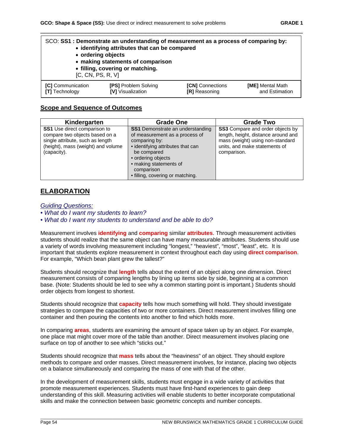| [C, CN, PS, R, V]        | SCO: SS1: Demonstrate an understanding of measurement as a process of comparing by:<br>• identifying attributes that can be compared<br>• ordering objects<br>• making statements of comparison<br>• filling, covering or matching. |                         |                  |
|--------------------------|-------------------------------------------------------------------------------------------------------------------------------------------------------------------------------------------------------------------------------------|-------------------------|------------------|
| <b>[C]</b> Communication | <b>[PS] Problem Solving</b>                                                                                                                                                                                                         | <b>[CN]</b> Connections | [ME] Mental Math |
| <b>[T]</b> Technology    | <b>IVI</b> Visualization                                                                                                                                                                                                            | <b>[R]</b> Reasoning    | and Estimation   |

### **Scope and Sequence of Outcomes**

| Kindergarten                                                                                                                                                   | <b>Grade One</b>                                                                                                                                                                                                                                 | <b>Grade Two</b>                                                                                                                                                   |
|----------------------------------------------------------------------------------------------------------------------------------------------------------------|--------------------------------------------------------------------------------------------------------------------------------------------------------------------------------------------------------------------------------------------------|--------------------------------------------------------------------------------------------------------------------------------------------------------------------|
| <b>SS1</b> Use direct comparison to<br>compare two objects based on a<br>single attribute, such as length<br>(height), mass (weight) and volume<br>(capacity). | <b>SS1</b> Demonstrate an understanding<br>of measurement as a process of<br>comparing by:<br>• identifying attributes that can<br>be compared<br>· ordering objects<br>• making statements of<br>comparison<br>• filling, covering or matching. | <b>SS3</b> Compare and order objects by<br>length, height, distance around and<br>mass (weight) using non-standard<br>units, and make statements of<br>comparison. |

# **ELABORATION**

*Guiding Questions:* 

*• What do I want my students to learn?* 

*• What do I want my students to understand and be able to do?*

Measurement involves **identifying** and **comparing** similar **attributes**. Through measurement activities students should realize that the same object can have many measurable attributes. Students should use a variety of words involving measurement including "longest," "heaviest", "most", "least", etc. It is important that students explore measurement in context throughout each day using **direct comparison**. For example, "Which bean plant grew the tallest?"

Students should recognize that **length** tells about the extent of an object along one dimension. Direct measurement consists of comparing lengths by lining up items side by side, beginning at a common base. (Note: Students should be led to see why a common starting point is important.) Students should order objects from longest to shortest.

Students should recognize that **capacity** tells how much something will hold. They should investigate strategies to compare the capacities of two or more containers. Direct measurement involves filling one container and then pouring the contents into another to find which holds more.

In comparing **areas**, students are examining the amount of space taken up by an object. For example, one place mat might cover more of the table than another. Direct measurement involves placing one surface on top of another to see which "sticks out."

Students should recognize that **mass** tells about the "heaviness" of an object. They should explore methods to compare and order masses. Direct measurement involves, for instance, placing two objects on a balance simultaneously and comparing the mass of one with that of the other.

In the development of measurement skills, students must engage in a wide variety of activities that promote measurement experiences. Students must have first-hand experiences to gain deep understanding of this skill. Measuring activities will enable students to better incorporate computational skills and make the connection between basic geometric concepts and number concepts.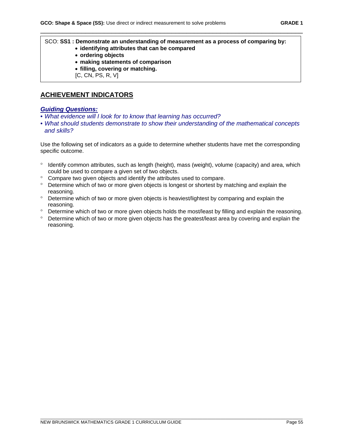#### SCO: **SS1 : Demonstrate an understanding of measurement as a process of comparing by:**  • **identifying attributes that can be compared**

\_\_\_\_\_\_\_\_\_\_\_\_\_\_\_\_\_\_\_\_\_\_\_\_\_\_\_\_\_\_\_\_\_\_\_\_\_\_\_\_\_\_\_\_\_\_\_\_\_\_\_\_\_\_\_\_\_\_\_\_\_\_\_\_\_\_\_\_\_\_

- **ordering objects**
- **making statements of comparison**
- **filling, covering or matching.**
- [C, CN, PS, R, V]

# **ACHIEVEMENT INDICATORS**

### *Guiding Questions:*

- *What evidence will I look for to know that learning has occurred?*
- *What should students demonstrate to show their understanding of the mathematical concepts and skills?*

Use the following set of indicators as a guide to determine whether students have met the corresponding specific outcome.

- ° Identify common attributes, such as length (height), mass (weight), volume (capacity) and area, which could be used to compare a given set of two objects.
- ° Compare two given objects and identify the attributes used to compare.
- ° Determine which of two or more given objects is longest or shortest by matching and explain the reasoning.
- ° Determine which of two or more given objects is heaviest/lightest by comparing and explain the reasoning.
- ° Determine which of two or more given objects holds the most/least by filling and explain the reasoning.
- ° Determine which of two or more given objects has the greatest/least area by covering and explain the reasoning.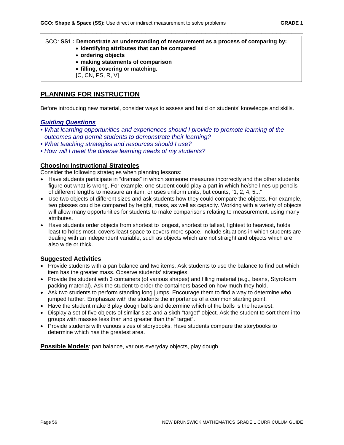#### SCO: **SS1 : Demonstrate an understanding of measurement as a process of comparing by:**  • **identifying attributes that can be compared**

\_\_\_\_\_\_\_\_\_\_\_\_\_\_\_\_\_\_\_\_\_\_\_\_\_\_\_\_\_\_\_\_\_\_\_\_\_\_\_\_\_\_\_\_\_\_\_\_\_\_\_\_\_\_\_\_\_\_\_\_\_\_\_\_\_\_\_\_\_\_

- **ordering objects**
- **making statements of comparison**
- **filling, covering or matching.**
- [C, CN, PS, R, V]

# **PLANNING FOR INSTRUCTION**

Before introducing new material, consider ways to assess and build on students' knowledge and skills.

### *Guiding Questions*

- *What learning opportunities and experiences should I provide to promote learning of the outcomes and permit students to demonstrate their learning?*
- *What teaching strategies and resources should I use?*
- *How will I meet the diverse learning needs of my students?*

### **Choosing Instructional Strategies**

Consider the following strategies when planning lessons:

- Have students participate in "dramas" in which someone measures incorrectly and the other students figure out what is wrong. For example, one student could play a part in which he/she lines up pencils of different lengths to measure an item, or uses uniform units, but counts, "1, 2, 4, 5..."
- Use two objects of different sizes and ask students how they could compare the objects. For example, two glasses could be compared by height, mass, as well as capacity. Working with a variety of objects will allow many opportunities for students to make comparisons relating to measurement, using many attributes.
- Have students order objects from shortest to longest, shortest to tallest, lightest to heaviest, holds least to holds most, covers least space to covers more space. Include situations in which students are dealing with an independent variable, such as objects which are not straight and objects which are also wide or thick.

### **Suggested Activities**

- Provide students with a pan balance and two items. Ask students to use the balance to find out which item has the greater mass. Observe students' strategies.
- Provide the student with 3 containers (of various shapes) and filling material (e.g., beans, Styrofoam packing material). Ask the student to order the containers based on how much they hold.
- Ask two students to perform standing long jumps. Encourage them to find a way to determine who jumped farther. Emphasize with the students the importance of a common starting point.
- Have the student make 3 play dough balls and determine which of the balls is the heaviest.
- Display a set of five objects of similar size and a sixth "target" object. Ask the student to sort them into groups with masses less than and greater than the" target".
- Provide students with various sizes of storybooks. Have students compare the storybooks to determine which has the greatest area.

**Possible Models**: pan balance, various everyday objects, play dough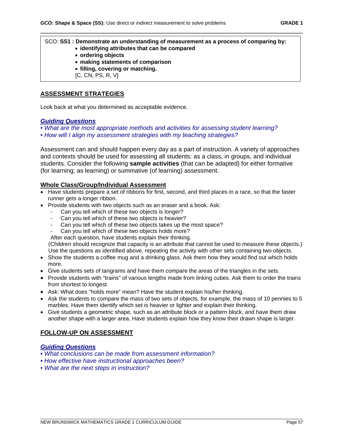# SCO: **SS1 : Demonstrate an understanding of measurement as a process of comparing by:**

\_\_\_\_\_\_\_\_\_\_\_\_\_\_\_\_\_\_\_\_\_\_\_\_\_\_\_\_\_\_\_\_\_\_\_\_\_\_\_\_\_\_\_\_\_\_\_\_\_\_\_\_\_\_\_\_\_\_\_\_\_\_\_\_\_\_\_\_\_\_

- **identifying attributes that can be compared**
- **ordering objects**
- **making statements of comparison**
- **filling, covering or matching.**
- [C, CN, PS, R, V]

# **ASSESSMENT STRATEGIES**

Look back at what you determined as acceptable evidence.

### *Guiding Questions*

*• What are the most appropriate methods and activities for assessing student learning?* 

*• How will I align my assessment strategies with my teaching strategies?*

Assessment can and should happen every day as a part of instruction. A variety of approaches and contexts should be used for assessing all students: as a class, in groups, and individual students. Consider the following **sample activities** (that can be adapted) for either formative (for learning; as learning) or summative (of learning) assessment.

### **Whole Class/Group/Individual Assessment**

- Have students prepare a set of ribbons for first, second, and third places in a race, so that the faster runner gets a longer ribbon.
- Provide students with two objects such as an eraser and a book. Ask:
	- Can you tell which of these two objects is longer?
	- Can you tell which of these two objects is heavier?
	- Can you tell which of these two objects takes up the most space?
	- Can you tell which of these two objects holds more?

After each question, have students explain their thinking.

(Children should recognize that capacity is an attribute that cannot be used to measure these objects.) Use the questions as identified above, repeating the activity with other sets containing two objects.

- Show the students a coffee mug and a drinking glass. Ask them how they would find out which holds more.
- Give students sets of tangrams and have them compare the areas of the triangles in the sets.
- Provide students with "trains" of various lengths made from linking cubes. Ask them to order the trains from shortest to longest.
- Ask: What does "holds more" mean? Have the student explain his/her thinking.
- Ask the students to compare the mass of two sets of objects, for example, the mass of 10 pennies to 5 marbles. Have them identify which set is heavier or lighter and explain their thinking.
- Give students a geometric shape, such as an attribute block or a pattern block, and have them draw another shape with a larger area. Have students explain how they know their drawn shape is larger.

## **FOLLOW-UP ON ASSESSMENT**

### *Guiding Questions*

- *What conclusions can be made from assessment information?*
- *How effective have instructional approaches been?*
- *What are the next steps in instruction?*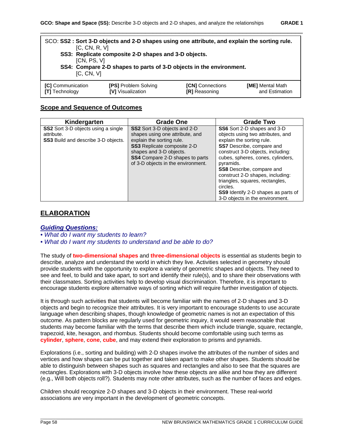| [C, CN, R, V]<br>[CN, PS, V]<br>IC. CN. VI                                                                                                                                                     | SCO: SS2 : Sort 3-D objects and 2-D shapes using one attribute, and explain the sorting rule.<br>SS3: Replicate composite 2-D shapes and 3-D objects.<br>SS4: Compare 2-D shapes to parts of 3-D objects in the environment. |  |  |
|------------------------------------------------------------------------------------------------------------------------------------------------------------------------------------------------|------------------------------------------------------------------------------------------------------------------------------------------------------------------------------------------------------------------------------|--|--|
| <b>[C]</b> Communication<br><b>[PS] Problem Solving</b><br><b>[CN]</b> Connections<br>[ME] Mental Math<br>[V] Visualization<br>and Estimation<br><b>IRI</b> Reasoning<br><b>ITI</b> Technology |                                                                                                                                                                                                                              |  |  |

### **Scope and Sequence of Outcomes**

| Kindergarten                                                                                           | Grade One                                                                                                                                                                                                                                            | <b>Grade Two</b>                                                                                                                                                                                                                                                                                                                                                                                                                 |
|--------------------------------------------------------------------------------------------------------|------------------------------------------------------------------------------------------------------------------------------------------------------------------------------------------------------------------------------------------------------|----------------------------------------------------------------------------------------------------------------------------------------------------------------------------------------------------------------------------------------------------------------------------------------------------------------------------------------------------------------------------------------------------------------------------------|
| <b>SS2</b> Sort 3-D objects using a single<br>attribute.<br><b>SS3</b> Build and describe 3-D objects. | <b>SS2</b> Sort 3-D objects and 2-D<br>shapes using one attribute, and<br>explain the sorting rule.<br><b>SS3</b> Replicate composite 2-D<br>shapes and 3-D objects.<br><b>SS4</b> Compare 2-D shapes to parts<br>of 3-D objects in the environment. | SS6 Sort 2-D shapes and 3-D<br>objects using two attributes, and<br>explain the sorting rule.<br><b>SS7</b> Describe, compare and<br>construct 3-D objects, including:<br>cubes, spheres, cones, cylinders,<br>pyramids.<br><b>SS8</b> Describe, compare and<br>construct 2-D shapes, including:<br>triangles, squares, rectangles,<br>circles.<br><b>SS9</b> Identify 2-D shapes as parts of<br>3-D objects in the environment. |

# **ELABORATION**

#### *Guiding Questions:*

*• What do I want my students to learn?* 

*• What do I want my students to understand and be able to do?*

The study of **two-dimensional shapes** and **three-dimensional objects** is essential as students begin to describe, analyze and understand the world in which they live. Activities selected in geometry should provide students with the opportunity to explore a variety of geometric shapes and objects. They need to see and feel, to build and take apart, to sort and identify their rule(s), and to share their observations with their classmates. Sorting activities help to develop visual discrimination. Therefore, it is important to encourage students explore alternative ways of sorting which will require further investigation of objects.

It is through such activities that students will become familiar with the names of 2-D shapes and 3-D objects and begin to recognize their attributes. It is very important to encourage students to use accurate language when describing shapes, though knowledge of geometric names is not an expectation of this outcome. As pattern blocks are regularly used for geometric inquiry, it would seem reasonable that students may become familiar with the terms that describe them which include triangle, square, rectangle, trapezoid, kite, hexagon, and rhombus. Students should become comfortable using such terms as **cylinder**, **sphere**, **cone**, **cube**, and may extend their exploration to prisms and pyramids.

Explorations (i.e., sorting and building) with 2-D shapes involve the attributes of the number of sides and vertices and how shapes can be put together and taken apart to make other shapes. Students should be able to distinguish between shapes such as squares and rectangles and also to see that the squares are rectangles. Explorations with 3-D objects involve how these objects are alike and how they are different (e.g., Will both objects roll?). Students may note other attributes, such as the number of faces and edges.

Children should recognize 2-D shapes and 3-D objects in their environment. These real-world associations are very important in the development of geometric concepts.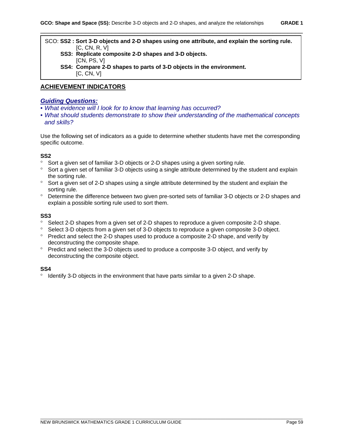| SCO: SS2: Sort 3-D objects and 2-D shapes using one attribute, and explain the sorting rule. |
|----------------------------------------------------------------------------------------------|
| IC. CN. R. VI                                                                                |
| SS3: Replicate composite 2-D shapes and 3-D objects.                                         |
| ICN. PS. VI                                                                                  |
| SS4: Compare 2-D shapes to parts of 3-D objects in the environment.                          |
| [C, CN, V]                                                                                   |

#### **ACHIEVEMENT INDICATORS**

#### *Guiding Questions:*

- *What evidence will I look for to know that learning has occurred?*
- *What should students demonstrate to show their understanding of the mathematical concepts and skills?*

Use the following set of indicators as a guide to determine whether students have met the corresponding specific outcome.

#### **SS2**

- ° Sort a given set of familiar 3-D objects or 2-D shapes using a given sorting rule.
- ° Sort a given set of familiar 3-D objects using a single attribute determined by the student and explain the sorting rule.
- ° Sort a given set of 2-D shapes using a single attribute determined by the student and explain the sorting rule.
- ° Determine the difference between two given pre-sorted sets of familiar 3-D objects or 2-D shapes and explain a possible sorting rule used to sort them.

#### **SS3**

- ° Select 2-D shapes from a given set of 2-D shapes to reproduce a given composite 2-D shape.
- ° Select 3-D objects from a given set of 3-D objects to reproduce a given composite 3-D object.
- ° Predict and select the 2-D shapes used to produce a composite 2-D shape, and verify by deconstructing the composite shape.
- ° Predict and select the 3-D objects used to produce a composite 3-D object, and verify by deconstructing the composite object.

#### **SS4**

° Identify 3-D objects in the environment that have parts similar to a given 2-D shape.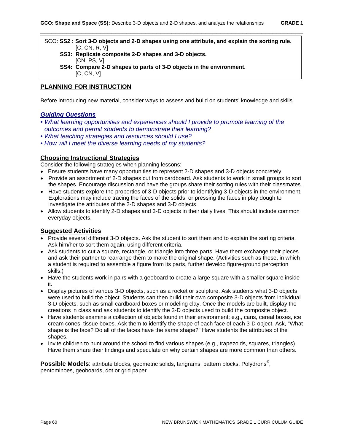SCO: **SS2 : Sort 3-D objects and 2-D shapes using one attribute, and explain the sorting rule.** [C, CN, R, V]  **SS3: Replicate composite 2-D shapes and 3-D objects.** [CN, PS, V]

 **SS4: Compare 2-D shapes to parts of 3-D objects in the environment.** [C, CN, V]

### **PLANNING FOR INSTRUCTION**

Before introducing new material, consider ways to assess and build on students' knowledge and skills.

### *Guiding Questions*

- *What learning opportunities and experiences should I provide to promote learning of the outcomes and permit students to demonstrate their learning?*
- *What teaching strategies and resources should I use?*
- *How will I meet the diverse learning needs of my students?*

#### **Choosing Instructional Strategies**

Consider the following strategies when planning lessons:

- Ensure students have many opportunities to represent 2-D shapes and 3-D objects concretely.
- Provide an assortment of 2-D shapes cut from cardboard. Ask students to work in small groups to sort the shapes. Encourage discussion and have the groups share their sorting rules with their classmates.
- Have students explore the properties of 3-D objects prior to identifying 3-D objects in the environment. Explorations may include tracing the faces of the solids, or pressing the faces in play dough to investigate the attributes of the 2-D shapes and 3-D objects.
- Allow students to identify 2-D shapes and 3-D objects in their daily lives. This should include common everyday objects.

### **Suggested Activities**

- Provide several different 3-D objects. Ask the student to sort them and to explain the sorting criteria. Ask him/her to sort them again, using different criteria.
- Ask students to cut a square, rectangle, or triangle into three parts. Have them exchange their pieces and ask their partner to rearrange them to make the original shape. (Activities such as these, in which a student is required to assemble a figure from its parts, further develop figure-ground perception skills.)
- Have the students work in pairs with a geoboard to create a large square with a smaller square inside it.
- Display pictures of various 3-D objects, such as a rocket or sculpture. Ask students what 3-D objects were used to build the object. Students can then build their own composite 3-D objects from individual 3-D objects, such as small cardboard boxes or modeling clay. Once the models are built, display the creations in class and ask students to identify the 3-D objects used to build the composite object.
- Have students examine a collection of objects found in their environment; e.g., cans, cereal boxes, ice cream cones, tissue boxes. Ask them to identify the shape of each face of each 3-D object. Ask, "What shape is the face? Do all of the faces have the same shape?" Have students the attributes of the shapes.
- Invite children to hunt around the school to find various shapes (e.g., trapezoids, squares, triangles). Have them share their findings and speculate on why certain shapes are more common than others.

**Possible Models**: attribute blocks, geometric solids, tangrams, pattern blocks, Polydrons® , pentominoes, geoboards, dot or grid paper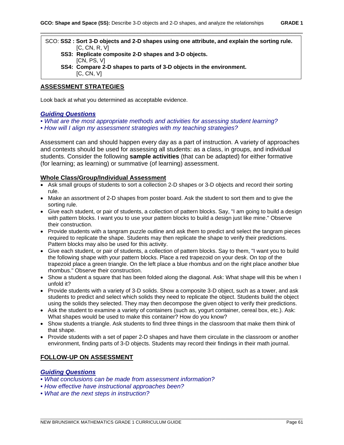| SCO: SS2: Sort 3-D objects and 2-D shapes using one attribute, and explain the sorting rule. |
|----------------------------------------------------------------------------------------------|
| [C, CN, R, V]                                                                                |
| SS3: Replicate composite 2-D shapes and 3-D objects.                                         |
| ICN. PS. VI                                                                                  |
| SS4: Compare 2-D shapes to parts of 3-D objects in the environment.                          |
| [C, CN, V]                                                                                   |

### **ASSESSMENT STRATEGIES**

Look back at what you determined as acceptable evidence.

### *Guiding Questions*

- *What are the most appropriate methods and activities for assessing student learning?*
- *How will I align my assessment strategies with my teaching strategies?*

Assessment can and should happen every day as a part of instruction. A variety of approaches and contexts should be used for assessing all students: as a class, in groups, and individual students. Consider the following **sample activities** (that can be adapted) for either formative (for learning; as learning) or summative (of learning) assessment.

#### **Whole Class/Group/Individual Assessment**

- Ask small groups of students to sort a collection 2-D shapes or 3-D objects and record their sorting rule.
- Make an assortment of 2-D shapes from poster board. Ask the student to sort them and to give the sorting rule.
- Give each student, or pair of students, a collection of pattern blocks. Say, "I am going to build a design with pattern blocks. I want you to use your pattern blocks to build a design just like mine." Observe their construction.
- Provide students with a tangram puzzle outline and ask them to predict and select the tangram pieces required to replicate the shape. Students may then replicate the shape to verify their predictions. Pattern blocks may also be used for this activity.
- Give each student, or pair of students, a collection of pattern blocks. Say to them, "I want you to build the following shape with your pattern blocks. Place a red trapezoid on your desk. On top of the trapezoid place a green triangle. On the left place a blue rhombus and on the right place another blue rhombus." Observe their construction.
- Show a student a square that has been folded along the diagonal. Ask: What shape will this be when I unfold it?
- Provide students with a variety of 3-D solids. Show a composite 3-D object, such as a tower, and ask students to predict and select which solids they need to replicate the object. Students build the object using the solids they selected. They may then decompose the given object to verify their predictions.
- Ask the student to examine a variety of containers (such as, yogurt container, cereal box, etc.). Ask: What shapes would be used to make this container? How do you know?
- Show students a triangle. Ask students to find three things in the classroom that make them think of that shape.
- Provide students with a set of paper 2-D shapes and have them circulate in the classroom or another environment, finding parts of 3-D objects. Students may record their findings in their math journal.

### **FOLLOW-UP ON ASSESSMENT**

# *Guiding Questions*

- *What conclusions can be made from assessment information?*
- *How effective have instructional approaches been?*
- *What are the next steps in instruction?*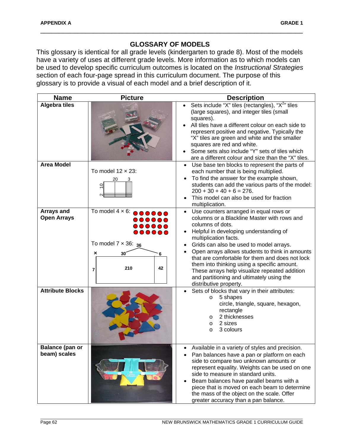# **GLOSSARY OF MODELS**

\_\_\_\_\_\_\_\_\_\_\_\_\_\_\_\_\_\_\_\_\_\_\_\_\_\_\_\_\_\_\_\_\_\_\_\_\_\_\_\_\_\_\_\_\_\_\_\_\_\_\_\_\_\_\_\_\_\_\_\_\_\_\_\_\_\_\_\_\_\_

This glossary is identical for all grade levels (kindergarten to grade 8). Most of the models have a variety of uses at different grade levels. More information as to which models can be used to develop specific curriculum outcomes is located on the *Instructional Strategies* section of each four-page spread in this curriculum document. The purpose of this glossary is to provide a visual of each model and a brief description of it.

| <b>Name</b>                                                 | <b>Picture</b>                                                                                                                                                                                        | <b>Description</b>                                                                                                                                                                                                                                                                                                                                                                                                                                                                                                                                                                                                              |
|-------------------------------------------------------------|-------------------------------------------------------------------------------------------------------------------------------------------------------------------------------------------------------|---------------------------------------------------------------------------------------------------------------------------------------------------------------------------------------------------------------------------------------------------------------------------------------------------------------------------------------------------------------------------------------------------------------------------------------------------------------------------------------------------------------------------------------------------------------------------------------------------------------------------------|
| <b>Algebra tiles</b>                                        |                                                                                                                                                                                                       | Sets include "X" tiles (rectangles), " $X2$ " tiles<br>(large squares), and integer tiles (small<br>squares).<br>All tiles have a different colour on each side to<br>represent positive and negative. Typically the<br>"X" tiles are green and white and the smaller<br>squares are red and white.<br>Some sets also include "Y" sets of tiles which<br>are a different colour and size than the "X" tiles.                                                                                                                                                                                                                    |
| <b>Area Model</b>                                           | To model $12 \times 23$ :<br>0                                                                                                                                                                        | Use base ten blocks to represent the parts of<br>$\bullet$<br>each number that is being multiplied.<br>To find the answer for the example shown,<br>$\bullet$<br>students can add the various parts of the model:<br>$200 + 30 + 40 + 6 = 276.$<br>This model can also be used for fraction<br>$\bullet$<br>multiplication.                                                                                                                                                                                                                                                                                                     |
| Arrays and<br><b>Open Arrays</b><br><b>Attribute Blocks</b> | To model $4 \times 6$ : $\bullet \bullet \bullet \bullet \bullet$<br>$\bullet\bullet\bullet\bullet\bullet\bullet$<br><br>To model $7 \times 36$ : $_{36}$<br>$30^{\circ}$<br>×<br>6<br>210<br>42<br>7 | Use counters arranged in equal rows or<br>$\bullet$<br>columns or a Blackline Master with rows and<br>columns of dots.<br>Helpful in developing understanding of<br>multiplication facts.<br>Grids can also be used to model arrays.<br>Open arrays allows students to think in amounts<br>that are comfortable for them and does not lock<br>them into thinking using a specific amount.<br>These arrays help visualize repeated addition<br>and partitioning and ultimately using the<br>distributive property.<br>Sets of blocks that vary in their attributes:<br>5 shapes<br>$\circ$<br>circle, triangle, square, hexagon, |
|                                                             |                                                                                                                                                                                                       | rectangle<br>2 thicknesses<br>$\circ$<br>2 sizes<br>O<br>3 colours<br>$\circ$                                                                                                                                                                                                                                                                                                                                                                                                                                                                                                                                                   |
| <b>Balance (pan or</b><br>beam) scales                      |                                                                                                                                                                                                       | Available in a variety of styles and precision.<br>Pan balances have a pan or platform on each<br>side to compare two unknown amounts or<br>represent equality. Weights can be used on one<br>side to measure in standard units.<br>Beam balances have parallel beams with a<br>$\bullet$<br>piece that is moved on each beam to determine<br>the mass of the object on the scale. Offer<br>greater accuracy than a pan balance.                                                                                                                                                                                                |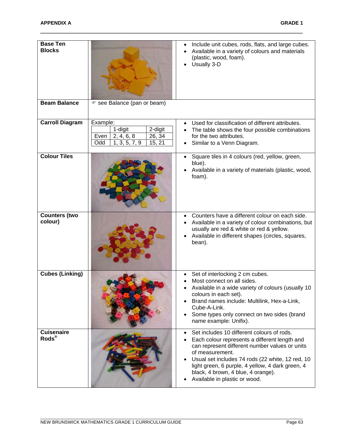| <b>Base Ten</b><br><b>Blocks</b>               |                                                                                                  | Include unit cubes, rods, flats, and large cubes.<br>$\bullet$<br>Available in a variety of colours and materials<br>$\bullet$<br>(plastic, wood, foam).<br>Usually 3-D                                                                                                                                                                                      |
|------------------------------------------------|--------------------------------------------------------------------------------------------------|--------------------------------------------------------------------------------------------------------------------------------------------------------------------------------------------------------------------------------------------------------------------------------------------------------------------------------------------------------------|
| <b>Beam Balance</b>                            | ☞ see Balance (pan or beam)                                                                      |                                                                                                                                                                                                                                                                                                                                                              |
| <b>Carroll Diagram</b>                         | Example:<br>2-digit<br>1-digit<br>26, 34<br>Even<br>2, 4, 6, 8<br>Odd<br>15, 21<br>1, 3, 5, 7, 9 | Used for classification of different attributes.<br>$\bullet$<br>The table shows the four possible combinations<br>$\bullet$<br>for the two attributes.<br>Similar to a Venn Diagram.<br>$\bullet$                                                                                                                                                           |
| <b>Colour Tiles</b>                            |                                                                                                  | Square tiles in 4 colours (red, yellow, green,<br>$\bullet$<br>blue).<br>Available in a variety of materials (plastic, wood,<br>$\bullet$<br>foam).                                                                                                                                                                                                          |
| <b>Counters (two</b><br>colour)                |                                                                                                  | Counters have a different colour on each side.<br>Available in a variety of colour combinations, but<br>usually are red & white or red & yellow.<br>Available in different shapes (circles, squares,<br>bean).                                                                                                                                               |
| <b>Cubes (Linking)</b>                         |                                                                                                  | Set of interlocking 2 cm cubes.<br>$\bullet$<br>Most connect on all sides.<br>Available in a wide variety of colours (usually 10<br>colours in each set).<br>Brand names include: Multilink, Hex-a-Link,<br>Cube-A-Link.<br>Some types only connect on two sides (brand<br>name example: Unifix).                                                            |
| <b>Cuisenaire</b><br>$\text{Rods}^{\circledR}$ |                                                                                                  | Set includes 10 different colours of rods.<br>$\bullet$<br>Each colour represents a different length and<br>can represent different number values or units<br>of measurement.<br>Usual set includes 74 rods (22 white, 12 red, 10<br>light green, 6 purple, 4 yellow, 4 dark green, 4<br>black, 4 brown, 4 blue, 4 orange).<br>Available in plastic or wood. |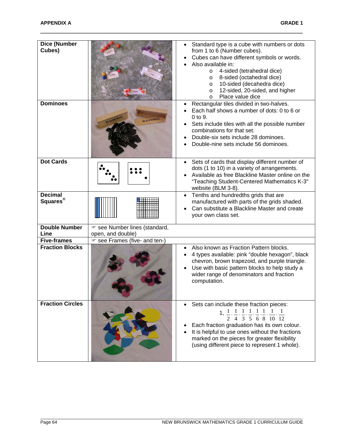| <b>Dice (Number</b><br>Cubes)          |                                                    | Standard type is a cube with numbers or dots<br>from 1 to 6 (Number cubes).<br>Cubes can have different symbols or words.<br>Also available in:<br>4-sided (tetrahedral dice)<br>$\circ$<br>8-sided (octahedral dice)<br>$\circ$<br>10-sided (decahedra dice)<br>O<br>12-sided, 20-sided, and higher<br>O<br>Place value dice<br>O                                                |
|----------------------------------------|----------------------------------------------------|-----------------------------------------------------------------------------------------------------------------------------------------------------------------------------------------------------------------------------------------------------------------------------------------------------------------------------------------------------------------------------------|
| <b>Dominoes</b>                        | DOMIN<br>DOMINO                                    | Rectangular tiles divided in two-halves.<br>Each half shows a number of dots: 0 to 6 or<br>0 to 9.<br>Sets include tiles with all the possible number<br>combinations for that set.<br>Double-six sets include 28 dominoes.<br>Double-nine sets include 56 dominoes.                                                                                                              |
| <b>Dot Cards</b>                       |                                                    | Sets of cards that display different number of<br>dots (1 to 10) in a variety of arrangements.<br>Available as free Blackline Master online on the<br>"Teaching Student-Centered Mathematics K-3"<br>website (BLM 3-8).                                                                                                                                                           |
| <b>Decimal</b><br>Squares <sup>®</sup> |                                                    | Tenths and hundredths grids that are<br>manufactured with parts of the grids shaded.<br>Can substitute a Blackline Master and create<br>your own class set.                                                                                                                                                                                                                       |
| <b>Double Number</b><br>Line           | ☞ see Number lines (standard,<br>open, and double) |                                                                                                                                                                                                                                                                                                                                                                                   |
| <b>Five-frames</b>                     | ☞ see Frames (five- and ten-)                      |                                                                                                                                                                                                                                                                                                                                                                                   |
| <b>Fraction Blocks</b>                 |                                                    | Also known as Fraction Pattern blocks.<br>4 types available: pink "double hexagon", black<br>chevron, brown trapezoid, and purple triangle.<br>Use with basic pattern blocks to help study a<br>wider range of denominators and fraction<br>computation.                                                                                                                          |
| <b>Fraction Circles</b>                |                                                    | Sets can include these fraction pieces:<br>1, $\frac{1}{2}$ , $\frac{1}{4}$ , $\frac{1}{3}$ , $\frac{1}{5}$ , $\frac{1}{6}$ , $\frac{1}{8}$ , $\frac{1}{10}$ , $\frac{1}{12}$<br>Each fraction graduation has its own colour.<br>It is helpful to use ones without the fractions<br>marked on the pieces for greater flexibility<br>(using different piece to represent 1 whole). |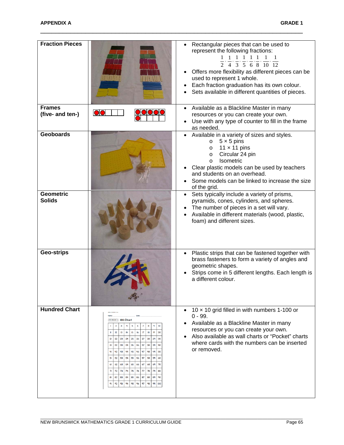| <b>Fraction Pieces</b>            |                                                                                                                                                                                                                                                                                                                                                                                                                                                                                                                                                                                                                                                                                                                           | Rectangular pieces that can be used to<br>represent the following fractions:<br>$1$ 1 1 1 1 1 1<br>$\frac{1}{4}$ , $\frac{1}{3}$ , $\frac{1}{5}$ , $\frac{1}{6}$ , $\frac{1}{8}$ , $\frac{1}{10}$ , $\frac{1}{12}$<br>Offers more flexibility as different pieces can be<br>used to represent 1 whole.<br>Each fraction graduation has its own colour.<br>Sets available in different quantities of pieces. |
|-----------------------------------|---------------------------------------------------------------------------------------------------------------------------------------------------------------------------------------------------------------------------------------------------------------------------------------------------------------------------------------------------------------------------------------------------------------------------------------------------------------------------------------------------------------------------------------------------------------------------------------------------------------------------------------------------------------------------------------------------------------------------|-------------------------------------------------------------------------------------------------------------------------------------------------------------------------------------------------------------------------------------------------------------------------------------------------------------------------------------------------------------------------------------------------------------|
| <b>Frames</b><br>(five- and ten-) |                                                                                                                                                                                                                                                                                                                                                                                                                                                                                                                                                                                                                                                                                                                           | Available as a Blackline Master in many<br>$\bullet$<br>resources or you can create your own.<br>Use with any type of counter to fill in the frame<br>as needed.                                                                                                                                                                                                                                            |
| <b>Geoboards</b>                  |                                                                                                                                                                                                                                                                                                                                                                                                                                                                                                                                                                                                                                                                                                                           | Available in a variety of sizes and styles.<br>$5 \times 5$ pins<br>$\circ$<br>11 $\times$ 11 pins<br>O<br>Circular 24 pin<br>O<br>Isometric<br>$\circ$<br>Clear plastic models can be used by teachers<br>and students on an overhead.<br>Some models can be linked to increase the size<br>of the grid.                                                                                                   |
| <b>Geometric</b><br><b>Solids</b> |                                                                                                                                                                                                                                                                                                                                                                                                                                                                                                                                                                                                                                                                                                                           | Sets typically include a variety of prisms,<br>$\bullet$<br>pyramids, cones, cylinders, and spheres.<br>The number of pieces in a set will vary.<br>Available in different materials (wood, plastic,<br>foam) and different sizes.                                                                                                                                                                          |
| Geo-strips                        |                                                                                                                                                                                                                                                                                                                                                                                                                                                                                                                                                                                                                                                                                                                           | Plastic strips that can be fastened together with<br>$\bullet$<br>brass fasteners to form a variety of angles and<br>geometric shapes.<br>Strips come in 5 different lengths. Each length is<br>a different colour.                                                                                                                                                                                         |
| <b>Hundred Chart</b>              | Line Moster 2) 100-Chart<br>4<br>5<br>3<br>6<br>8<br>10<br>$\overline{2}$<br>13<br>14<br>15<br>16<br>18<br>$\mathbf{I}$<br>12<br>$\overline{17}$<br> q <br>20<br>23<br>24<br>25<br>26<br>21<br>22<br>27<br>28<br>2 <sup>q</sup><br>30<br>33<br>34<br>35<br>36<br>38<br>39<br>31<br>32<br>37<br>49<br>43<br>44<br>46<br>46<br>47<br>ųя<br>50<br>41<br>42<br>55<br>59<br>52<br>53<br>54<br>56<br>57<br>58<br>51<br>60<br>63<br>64<br>65<br>66<br>67<br>68<br>69<br>61<br>62<br>70<br>74<br>75<br>$\overline{\mathbf{r}}$<br>72<br>73<br>76<br>77<br>78<br>79<br>80<br>84<br>85<br>81<br>82<br>83<br>86<br>87<br>88<br>89<br>90<br>95<br>97<br>q <sub>l</sub><br>q <sub>2</sub><br>93<br>94<br>96<br>98<br>$q\bar{q}$<br>100 | 10 x 10 grid filled in with numbers 1-100 or<br>$\bullet$<br>$0 - 99.$<br>Available as a Blackline Master in many<br>resources or you can create your own.<br>Also available as wall charts or "Pocket" charts<br>$\bullet$<br>where cards with the numbers can be inserted<br>or removed.                                                                                                                  |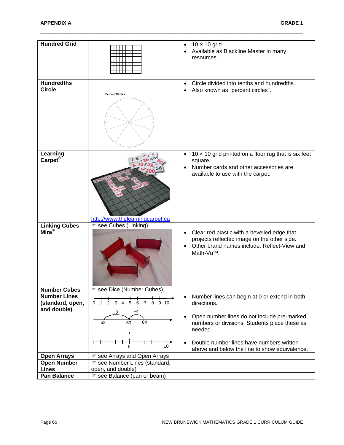| <b>Hundred Grid</b>                     |                                                  | $10 \times 10$ grid.<br>Available as Blackline Master in many<br>resources.                                                                                         |
|-----------------------------------------|--------------------------------------------------|---------------------------------------------------------------------------------------------------------------------------------------------------------------------|
| <b>Hundredths</b><br><b>Circle</b>      | <b>Percent Circles</b>                           | Circle divided into tenths and hundredths.<br>Also known as "percent circles".                                                                                      |
| Learning<br>Carpet <sup>®</sup>         | http://www.thelearningcarpet.ca                  | 10 $\times$ 10 grid printed on a floor rug that is six feet<br>$\bullet$<br>square.<br>Number cards and other accessories are<br>available to use with the carpet.  |
| <b>Linking Cubes</b>                    | ☞ see Cubes (Linking)                            |                                                                                                                                                                     |
| Mira <sup>®</sup>                       |                                                  | Clear red plastic with a bevelled edge that<br>$\bullet$<br>projects reflected image on the other side.<br>Other brand names include: Reflect-View and<br>Math-Vu™. |
| <b>Number Cubes</b>                     | see Dice (Number Cubes)                          |                                                                                                                                                                     |
| <b>Number Lines</b><br>(standard, open, | 2<br>3<br>5<br>7 8 9 10<br>$\overline{4}$<br>6   | Number lines can begin at 0 or extend in both<br>$\bullet$                                                                                                          |
| and double)                             |                                                  | directions.                                                                                                                                                         |
|                                         | +8<br>$+4$<br>64<br>52<br>60                     | Open number lines do not include pre-marked<br>numbers or divisions. Students place these as<br>needed.                                                             |
|                                         | 10                                               | Double number lines have numbers written<br>above and below the line to show equivalence.                                                                           |
| <b>Open Arrays</b>                      | ☞ see Arrays and Open Arrays                     |                                                                                                                                                                     |
| <b>Open Number</b>                      | ☞ see Number Lines (standard,                    |                                                                                                                                                                     |
| <b>Lines</b><br><b>Pan Balance</b>      | open, and double)<br>☞ see Balance (pan or beam) |                                                                                                                                                                     |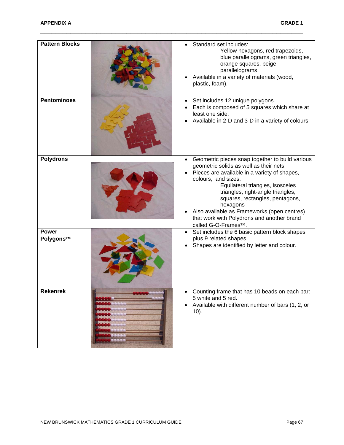| <b>Pattern Blocks</b>     | Standard set includes:<br>Yellow hexagons, red trapezoids,<br>blue parallelograms, green triangles,<br>orange squares, beige<br>parallelograms.<br>Available in a variety of materials (wood,<br>plastic, foam).                                                                                                                                                                                              |
|---------------------------|---------------------------------------------------------------------------------------------------------------------------------------------------------------------------------------------------------------------------------------------------------------------------------------------------------------------------------------------------------------------------------------------------------------|
| <b>Pentominoes</b>        | Set includes 12 unique polygons.<br>Each is composed of 5 squares which share at<br>least one side.<br>Available in 2-D and 3-D in a variety of colours.                                                                                                                                                                                                                                                      |
| <b>Polydrons</b>          | Geometric pieces snap together to build various<br>geometric solids as well as their nets.<br>Pieces are available in a variety of shapes,<br>colours, and sizes:<br>Equilateral triangles, isosceles<br>triangles, right-angle triangles,<br>squares, rectangles, pentagons,<br>hexagons<br>Also available as Frameworks (open centres)<br>that work with Polydrons and another brand<br>called G-O-Frames™. |
| <b>Power</b><br>Polygons™ | Set includes the 6 basic pattern block shapes<br>plus 9 related shapes.<br>Shapes are identified by letter and colour.                                                                                                                                                                                                                                                                                        |
| Rekenrek                  | Counting frame that has 10 beads on each bar:<br>5 white and 5 red.<br>Available with different number of bars (1, 2, or<br>$10$ ).                                                                                                                                                                                                                                                                           |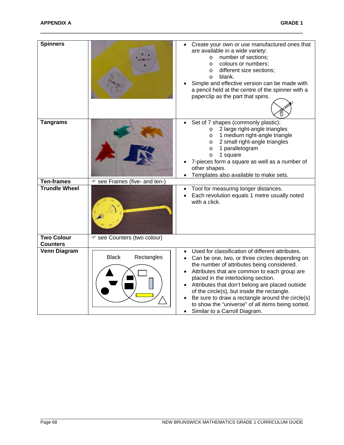| <b>Spinners</b>               |                               | Create your own or use manufactured ones that<br>are available in a wide variety:<br>number of sections;<br>$\circ$<br>colours or numbers;<br>$\circ$<br>different size sections;<br>$\circ$<br>blank.<br>$\circ$<br>Simple and effective version can be made with<br>a pencil held at the centre of the spinner with a<br>paperclip as the part that spins.                                                                                                                        |
|-------------------------------|-------------------------------|-------------------------------------------------------------------------------------------------------------------------------------------------------------------------------------------------------------------------------------------------------------------------------------------------------------------------------------------------------------------------------------------------------------------------------------------------------------------------------------|
| <b>Tangrams</b>               |                               | Set of 7 shapes (commonly plastic):<br>2 large right-angle triangles<br>$\circ$<br>1 medium right-angle triangle<br>$\circ$<br>2 small right-angle triangles<br>$\circ$<br>1 parallelogram<br>$\circ$<br>1 square<br>$\circ$<br>7-pieces form a square as well as a number of<br>other shapes.<br>Templates also available to make sets.                                                                                                                                            |
| <b>Ten-frames</b>             | ☞ see Frames (five- and ten-) |                                                                                                                                                                                                                                                                                                                                                                                                                                                                                     |
| <b>Trundle Wheel</b>          |                               | Tool for measuring longer distances.<br>Each revolution equals 1 metre usually noted<br>with a click.                                                                                                                                                                                                                                                                                                                                                                               |
| <b>Two Colour</b><br>Counters | ☞ see Counters (two colour)   |                                                                                                                                                                                                                                                                                                                                                                                                                                                                                     |
| Venn Diagram                  | <b>Black</b><br>Rectangles    | Used for classification of different attributes.<br>Can be one, two, or three circles depending on<br>the number of attributes being considered.<br>Attributes that are common to each group are<br>placed in the interlocking section.<br>Attributes that don't belong are placed outside<br>of the circle(s), but inside the rectangle.<br>Be sure to draw a rectangle around the circle(s)<br>to show the "universe" of all items being sorted.<br>Similar to a Carroll Diagram. |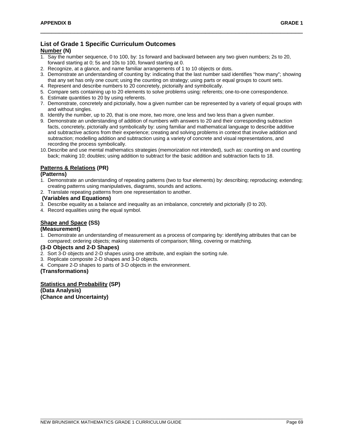# **List of Grade 1 Specific Curriculum Outcomes**

# **Number (N)**

- 1. Say the number sequence, 0 to 100, by: 1s forward and backward between any two given numbers; 2s to 20, forward starting at 0; 5s and 10s to 100, forward starting at 0.
- 2. Recognize, at a glance, and name familiar arrangements of 1 to 10 objects or dots.
- 3. Demonstrate an understanding of counting by: indicating that the last number said identifies "how many"; showing that any set has only one count; using the counting on strategy; using parts or equal groups to count sets.

\_\_\_\_\_\_\_\_\_\_\_\_\_\_\_\_\_\_\_\_\_\_\_\_\_\_\_\_\_\_\_\_\_\_\_\_\_\_\_\_\_\_\_\_\_\_\_\_\_\_\_\_\_\_\_\_\_\_\_\_\_\_\_\_\_\_\_\_\_\_

- 4. Represent and describe numbers to 20 concretely, pictorially and symbolically.
- 5. Compare sets containing up to 20 elements to solve problems using: referents; one-to-one correspondence.
- 6. Estimate quantities to 20 by using referents.
- 7. Demonstrate, concretely and pictorially, how a given number can be represented by a variety of equal groups with and without singles.
- 8. Identify the number, up to 20, that is one more, two more, one less and two less than a given number.
- 9. Demonstrate an understanding of addition of numbers with answers to 20 and their corresponding subtraction facts, concretely, pictorially and symbolically by: using familiar and mathematical language to describe additive and subtractive actions from their experience; creating and solving problems in context that involve addition and subtraction; modelling addition and subtraction using a variety of concrete and visual representations, and recording the process symbolically.
- 10.Describe and use mental mathematics strategies (memorization not intended), such as: counting on and counting back; making 10; doubles; using addition to subtract for the basic addition and subtraction facts to 18.

### **Patterns & Relations (PR)**

#### **(Patterns)**

- 1. Demonstrate an understanding of repeating patterns (two to four elements) by: describing; reproducing; extending; creating patterns using manipulatives, diagrams, sounds and actions.
- 2. Translate repeating patterns from one representation to another.

#### **(Variables and Equations)**

- 3. Describe equality as a balance and inequality as an imbalance, concretely and pictorially (0 to 20).
- 4. Record equalities using the equal symbol.

# **Shape and Space (SS)**

# **(Measurement)**

1. Demonstrate an understanding of measurement as a process of comparing by: identifying attributes that can be compared; ordering objects; making statements of comparison; filling, covering or matching.

#### **(3-D Objects and 2-D Shapes)**

- 2. Sort 3-D objects and 2-D shapes using one attribute, and explain the sorting rule.
- 3. Replicate composite 2-D shapes and 3-D objects.
- 4. Compare 2-D shapes to parts of 3-D objects in the environment.

#### **(Transformations)**

# **Statistics and Probability (SP)**

**(Data Analysis) (Chance and Uncertainty)**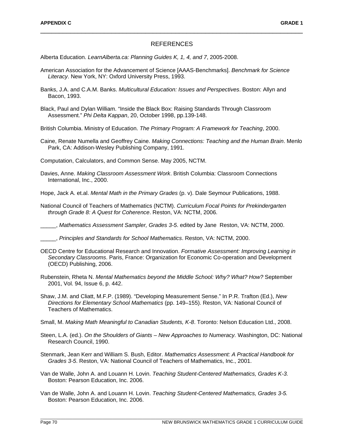#### REFERENCES

\_\_\_\_\_\_\_\_\_\_\_\_\_\_\_\_\_\_\_\_\_\_\_\_\_\_\_\_\_\_\_\_\_\_\_\_\_\_\_\_\_\_\_\_\_\_\_\_\_\_\_\_\_\_\_\_\_\_\_\_\_\_\_\_\_\_\_\_\_\_

Alberta Education. *LearnAlberta.ca: Planning Guides K, 1, 4, and 7*, 2005-2008.

- American Association for the Advancement of Science [AAAS-Benchmarks]. *Benchmark for Science Literacy*. New York, NY: Oxford University Press, 1993.
- Banks, J.A. and C.A.M. Banks. *Multicultural Education: Issues and Perspectives*. Boston: Allyn and Bacon, 1993.
- Black, Paul and Dylan William. "Inside the Black Box: Raising Standards Through Classroom Assessment." *Phi Delta Kappan*, 20, October 1998, pp.139-148.
- British Columbia. Ministry of Education. *The Primary Program: A Framework for Teaching*, 2000.
- Caine, Renate Numella and Geoffrey Caine. *Making Connections: Teaching and the Human Brain*. Menlo Park, CA: Addison-Wesley Publishing Company, 1991.

Computation, Calculators, and Common Sense. May 2005, NCTM.

Davies, Anne. *Making Classroom Assessment Work*. British Columbia: Classroom Connections International, Inc., 2000.

Hope, Jack A. et.al. *Mental Math in the Primary Grades* (p. v). Dale Seymour Publications, 1988.

National Council of Teachers of Mathematics (NCTM). *Curriculum Focal Points for Prekindergarten through Grade 8: A Quest for Coherence*. Reston, VA: NCTM, 2006.

\_\_\_\_\_, *Mathematics Assessment Sampler, Grades 3-5*. edited by Jane Reston, VA: NCTM, 2000.

\_\_\_\_\_, *Principles and Standards for School Mathematics*. Reston, VA: NCTM, 2000.

- OECD Centre for Educational Research and Innovation. *Formative Assessment: Improving Learning in Secondary Classrooms*. Paris, France: Organization for Economic Co-operation and Development (OECD) Publishing, 2006.
- Rubenstein, Rheta N. *Mental Mathematics beyond the Middle School: Why? What? How?* September 2001, Vol. 94, Issue 6, p. 442.
- Shaw, J.M. and Cliatt, M.F.P. (1989). "Developing Measurement Sense." In P.R. Trafton (Ed.), *New Directions for Elementary School Mathematics* (pp. 149–155). Reston, VA: National Council of Teachers of Mathematics.
- Small, M. *Making Math Meaningful to Canadian Students, K-8*. Toronto: Nelson Education Ltd., 2008.
- Steen, L.A. (ed.). *On the Shoulders of Giants – New Approaches to Numeracy.* Washington, DC: National Research Council, 1990.
- Stenmark, Jean Kerr and William S. Bush, Editor. *Mathematics Assessment: A Practical Handbook for Grades 3-5*. Reston, VA: National Council of Teachers of Mathematics, Inc., 2001.
- Van de Walle, John A. and Louann H. Lovin. *Teaching Student-Centered Mathematics, Grades K-3.* Boston: Pearson Education, Inc. 2006.
- Van de Walle, John A. and Louann H. Lovin. *Teaching Student-Centered Mathematics, Grades 3-5.* Boston: Pearson Education, Inc. 2006.

\_\_\_\_\_\_\_\_\_\_\_\_\_\_\_\_\_\_\_\_\_\_\_\_\_\_\_\_\_\_\_\_\_\_\_\_\_\_\_\_\_\_\_\_\_\_\_\_\_\_\_\_\_\_\_\_\_\_\_\_\_\_\_\_\_\_\_\_\_\_\_\_\_\_\_\_\_\_\_\_\_\_\_\_\_\_\_\_\_\_\_\_\_\_\_\_\_\_\_\_\_\_\_\_\_